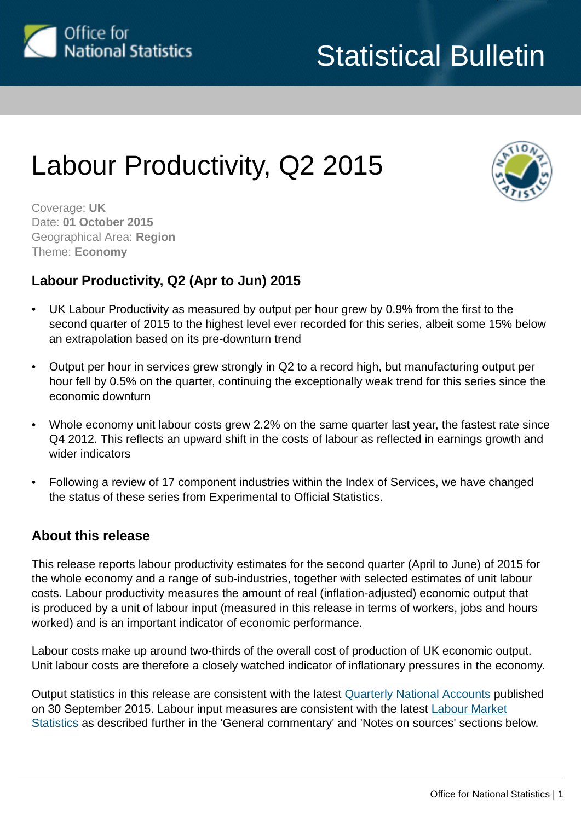

# Labour Productivity, Q2 2015



Coverage: **UK** Date: **01 October 2015** Geographical Area: **Region** Theme: **Economy**

## **Labour Productivity, Q2 (Apr to Jun) 2015**

- UK Labour Productivity as measured by output per hour grew by 0.9% from the first to the second quarter of 2015 to the highest level ever recorded for this series, albeit some 15% below an extrapolation based on its pre-downturn trend
- Output per hour in services grew strongly in Q2 to a record high, but manufacturing output per hour fell by 0.5% on the quarter, continuing the exceptionally weak trend for this series since the economic downturn
- Whole economy unit labour costs grew 2.2% on the same quarter last year, the fastest rate since Q4 2012. This reflects an upward shift in the costs of labour as reflected in earnings growth and wider indicators
- Following a review of 17 component industries within the Index of Services, we have changed the status of these series from Experimental to Official Statistics.

## **About this release**

This release reports labour productivity estimates for the second quarter (April to June) of 2015 for the whole economy and a range of sub-industries, together with selected estimates of unit labour costs. Labour productivity measures the amount of real (inflation-adjusted) economic output that is produced by a unit of labour input (measured in this release in terms of workers, jobs and hours worked) and is an important indicator of economic performance.

Labour costs make up around two-thirds of the overall cost of production of UK economic output. Unit labour costs are therefore a closely watched indicator of inflationary pressures in the economy.

Output statistics in this release are consistent with the latest [Quarterly National Accounts](http://www.ons.gov.uk:80/ons/rel/naa2/quarterly-national-accounts/q2-2015/index.html) published on 30 September 2015. Labour input measures are consistent with the latest [Labour Market](http://www.ons.gov.uk:80/ons/rel/lms/labour-market-statistics/index.html) [Statistics](http://www.ons.gov.uk:80/ons/rel/lms/labour-market-statistics/index.html) as described further in the 'General commentary' and 'Notes on sources' sections below.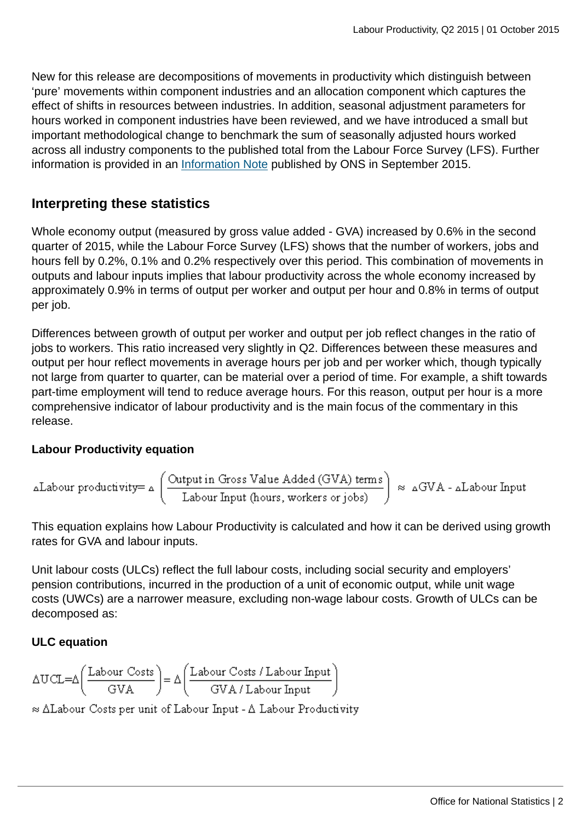New for this release are decompositions of movements in productivity which distinguish between 'pure' movements within component industries and an allocation component which captures the effect of shifts in resources between industries. In addition, seasonal adjustment parameters for hours worked in component industries have been reviewed, and we have introduced a small but important methodological change to benchmark the sum of seasonally adjusted hours worked across all industry components to the published total from the Labour Force Survey (LFS). Further information is provided in an [Information Note](http://www.ons.gov.uk:80/ons/guide-method/method-quality/specific/economy/productivity-measures/productivity-articles/index.html) published by ONS in September 2015.

## **Interpreting these statistics**

Whole economy output (measured by gross value added - GVA) increased by 0.6% in the second quarter of 2015, while the Labour Force Survey (LFS) shows that the number of workers, jobs and hours fell by 0.2%, 0.1% and 0.2% respectively over this period. This combination of movements in outputs and labour inputs implies that labour productivity across the whole economy increased by approximately 0.9% in terms of output per worker and output per hour and 0.8% in terms of output per job.

Differences between growth of output per worker and output per job reflect changes in the ratio of jobs to workers. This ratio increased very slightly in Q2. Differences between these measures and output per hour reflect movements in average hours per job and per worker which, though typically not large from quarter to quarter, can be material over a period of time. For example, a shift towards part-time employment will tend to reduce average hours. For this reason, output per hour is a more comprehensive indicator of labour productivity and is the main focus of the commentary in this release.

## **Labour Productivity equation**

$$
\Delta \text{Labour productivity} = \Delta \left( \frac{\text{Output in Gross Value added (GVA) terms}}{\text{Labour Input (hours, workers or jobs)}} \right) \approx \Delta GVA - \Delta \text{Labour Input}
$$

This equation explains how Labour Productivity is calculated and how it can be derived using growth rates for GVA and labour inputs.

Unit labour costs (ULCs) reflect the full labour costs, including social security and employers' pension contributions, incurred in the production of a unit of economic output, while unit wage costs (UWCs) are a narrower measure, excluding non-wage labour costs. Growth of ULCs can be decomposed as:

## **ULC equation**

$$
\Delta UCL = \Delta \left(\frac{\text{Labour Costs}}{\text{GVA}}\right) = \Delta \left(\frac{\text{Labour Costs / Labour Input}}{\text{GVA / Labour Input}}\right)
$$

 $\approx \Delta$ Labour Costs per unit of Labour Input -  $\Delta$  Labour Productivity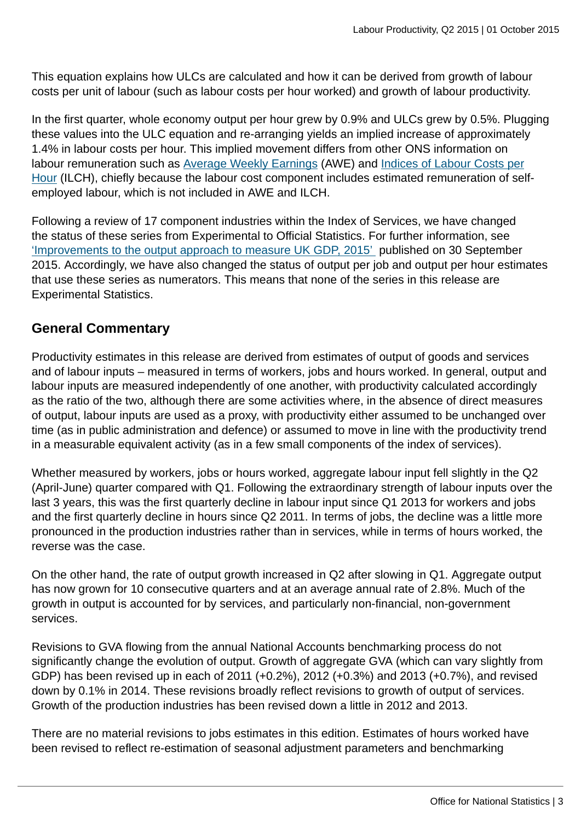This equation explains how ULCs are calculated and how it can be derived from growth of labour costs per unit of labour (such as labour costs per hour worked) and growth of labour productivity.

In the first quarter, whole economy output per hour grew by 0.9% and ULCs grew by 0.5%. Plugging these values into the ULC equation and re-arranging yields an implied increase of approximately 1.4% in labour costs per hour. This implied movement differs from other ONS information on labour remuneration such as [Average Weekly Earnings](http://www.ons.gov.uk:80/ons/rel/lms/labour-market-statistics/index.html) (AWE) and [Indices of Labour Costs per](http://www.ons.gov.uk:80/ons/rel/ilch/index-of-labour-costs-per-hour--experimental-/index.html) [Hour](http://www.ons.gov.uk:80/ons/rel/ilch/index-of-labour-costs-per-hour--experimental-/index.html) (ILCH), chiefly because the labour cost component includes estimated remuneration of selfemployed labour, which is not included in AWE and ILCH.

Following a review of 17 component industries within the Index of Services, we have changed the status of these series from Experimental to Official Statistics. For further information, see ['Improvements to the output approach to measure UK GDP, 2015'](http://www.ons.gov.uk:80/ons/rel/naa1-rd/national-accounts-articles/improvements-to-the-output-approach-to-measure-uk-gdp--2015/index.html) published on 30 September 2015. Accordingly, we have also changed the status of output per job and output per hour estimates that use these series as numerators. This means that none of the series in this release are Experimental Statistics.

## **General Commentary**

Productivity estimates in this release are derived from estimates of output of goods and services and of labour inputs – measured in terms of workers, jobs and hours worked. In general, output and labour inputs are measured independently of one another, with productivity calculated accordingly as the ratio of the two, although there are some activities where, in the absence of direct measures of output, labour inputs are used as a proxy, with productivity either assumed to be unchanged over time (as in public administration and defence) or assumed to move in line with the productivity trend in a measurable equivalent activity (as in a few small components of the index of services).

Whether measured by workers, jobs or hours worked, aggregate labour input fell slightly in the Q2 (April-June) quarter compared with Q1. Following the extraordinary strength of labour inputs over the last 3 years, this was the first quarterly decline in labour input since Q1 2013 for workers and jobs and the first quarterly decline in hours since Q2 2011. In terms of jobs, the decline was a little more pronounced in the production industries rather than in services, while in terms of hours worked, the reverse was the case.

On the other hand, the rate of output growth increased in Q2 after slowing in Q1. Aggregate output has now grown for 10 consecutive quarters and at an average annual rate of 2.8%. Much of the growth in output is accounted for by services, and particularly non-financial, non-government services.

Revisions to GVA flowing from the annual National Accounts benchmarking process do not significantly change the evolution of output. Growth of aggregate GVA (which can vary slightly from GDP) has been revised up in each of 2011 (+0.2%), 2012 (+0.3%) and 2013 (+0.7%), and revised down by 0.1% in 2014. These revisions broadly reflect revisions to growth of output of services. Growth of the production industries has been revised down a little in 2012 and 2013.

There are no material revisions to jobs estimates in this edition. Estimates of hours worked have been revised to reflect re-estimation of seasonal adjustment parameters and benchmarking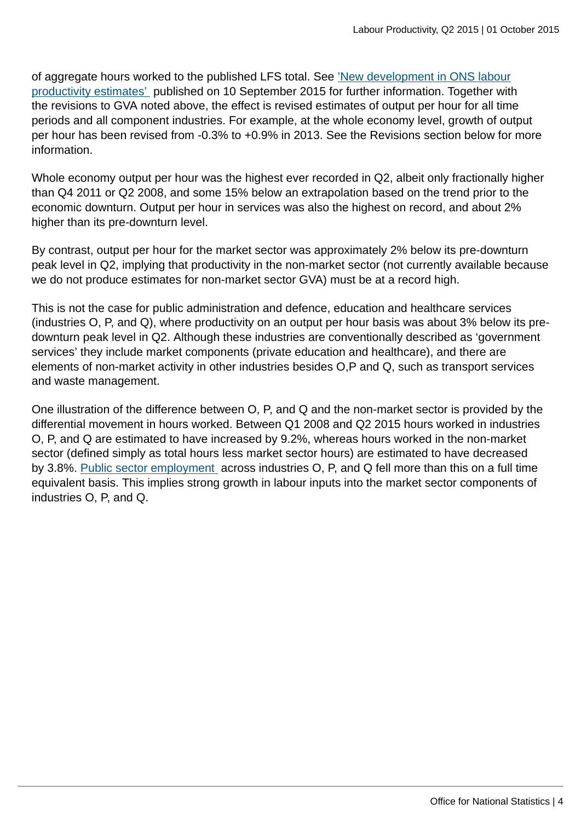of aggregate hours worked to the published LFS total. See ['New development in ONS labour](http://www.ons.gov.uk:80/ons/guide-method/method-quality/specific/economy/productivity-measures/productivity-articles/index.html) [productivity estimates'](http://www.ons.gov.uk:80/ons/guide-method/method-quality/specific/economy/productivity-measures/productivity-articles/index.html) published on 10 September 2015 for further information. Together with the revisions to GVA noted above, the effect is revised estimates of output per hour for all time periods and all component industries. For example, at the whole economy level, growth of output per hour has been revised from -0.3% to +0.9% in 2013. See the Revisions section below for more information.

Whole economy output per hour was the highest ever recorded in Q2, albeit only fractionally higher than Q4 2011 or Q2 2008, and some 15% below an extrapolation based on the trend prior to the economic downturn. Output per hour in services was also the highest on record, and about 2% higher than its pre-downturn level.

By contrast, output per hour for the market sector was approximately 2% below its pre-downturn peak level in Q2, implying that productivity in the non-market sector (not currently available because we do not produce estimates for non-market sector GVA) must be at a record high.

This is not the case for public administration and defence, education and healthcare services (industries O, P, and Q), where productivity on an output per hour basis was about 3% below its predownturn peak level in Q2. Although these industries are conventionally described as 'government services' they include market components (private education and healthcare), and there are elements of non-market activity in other industries besides O,P and Q, such as transport services and waste management.

One illustration of the difference between O, P, and Q and the non-market sector is provided by the differential movement in hours worked. Between Q1 2008 and Q2 2015 hours worked in industries O, P, and Q are estimated to have increased by 9.2%, whereas hours worked in the non-market sector (defined simply as total hours less market sector hours) are estimated to have decreased by 3.8%. [Public sector employment](http://www.ons.gov.uk:80/ons/rel/psa/public-sector-finances/index.html) across industries O, P, and Q fell more than this on a full time equivalent basis. This implies strong growth in labour inputs into the market sector components of industries O, P, and Q.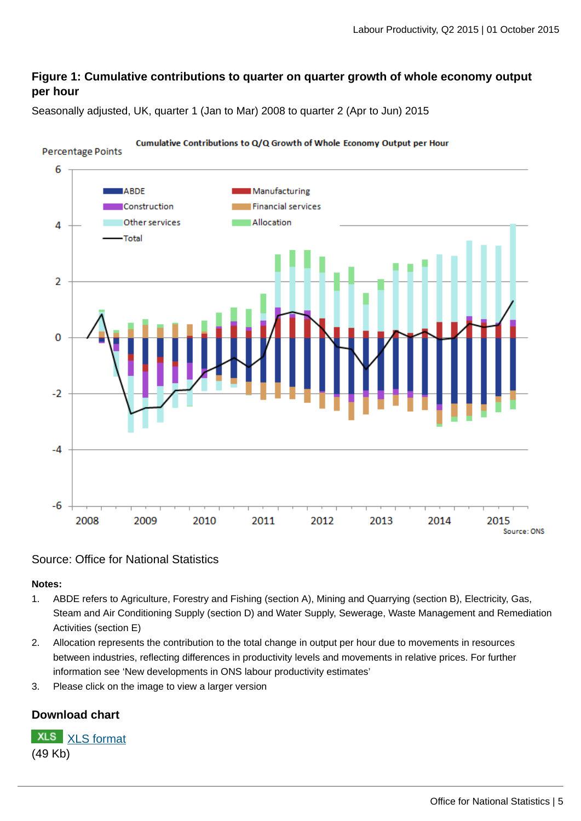## **Figure 1: Cumulative contributions to quarter on quarter growth of whole economy output per hour**

Seasonally adjusted, UK, quarter 1 (Jan to Mar) 2008 to quarter 2 (Apr to Jun) 2015



## Source: Office for National Statistics

#### **Notes:**

- 1. ABDE refers to Agriculture, Forestry and Fishing (section A), Mining and Quarrying (section B), Electricity, Gas, Steam and Air Conditioning Supply (section D) and Water Supply, Sewerage, Waste Management and Remediation Activities (section E)
- 2. Allocation represents the contribution to the total change in output per hour due to movements in resources between industries, reflecting differences in productivity levels and movements in relative prices. For further information see 'New developments in ONS labour productivity estimates'
- 3. Please click on the image to view a larger version

## **Download chart**

**XLS** [XLS format](http://www.ons.gov.uk:80/ons/rel/productivity/labour-productivity/q2-2015/chd-we-composition-unlinked.xls) (49 Kb)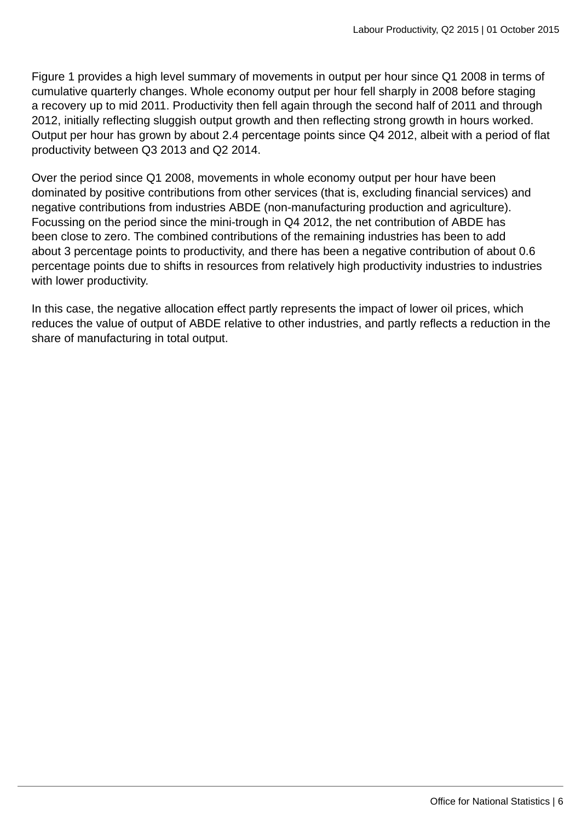Figure 1 provides a high level summary of movements in output per hour since Q1 2008 in terms of cumulative quarterly changes. Whole economy output per hour fell sharply in 2008 before staging a recovery up to mid 2011. Productivity then fell again through the second half of 2011 and through 2012, initially reflecting sluggish output growth and then reflecting strong growth in hours worked. Output per hour has grown by about 2.4 percentage points since Q4 2012, albeit with a period of flat productivity between Q3 2013 and Q2 2014.

Over the period since Q1 2008, movements in whole economy output per hour have been dominated by positive contributions from other services (that is, excluding financial services) and negative contributions from industries ABDE (non-manufacturing production and agriculture). Focussing on the period since the mini-trough in Q4 2012, the net contribution of ABDE has been close to zero. The combined contributions of the remaining industries has been to add about 3 percentage points to productivity, and there has been a negative contribution of about 0.6 percentage points due to shifts in resources from relatively high productivity industries to industries with lower productivity.

In this case, the negative allocation effect partly represents the impact of lower oil prices, which reduces the value of output of ABDE relative to other industries, and partly reflects a reduction in the share of manufacturing in total output.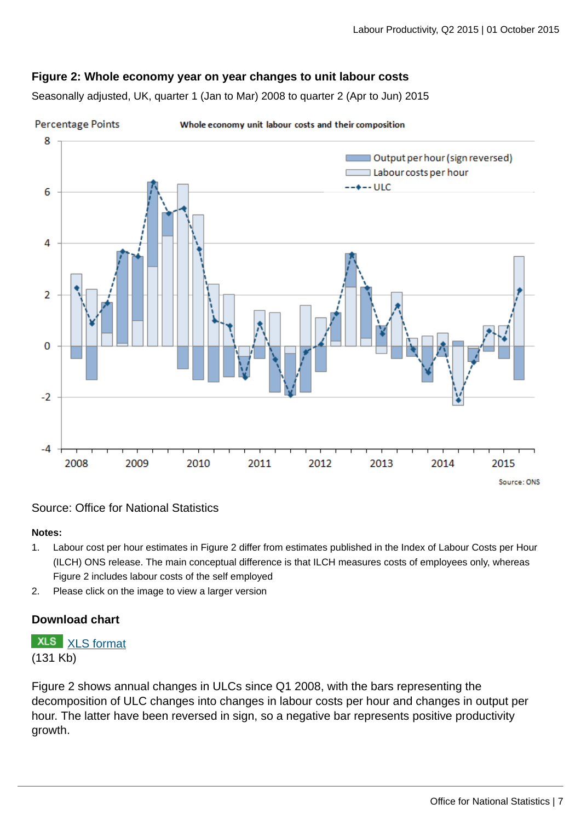## **Figure 2: Whole economy year on year changes to unit labour costs**

Seasonally adjusted, UK, quarter 1 (Jan to Mar) 2008 to quarter 2 (Apr to Jun) 2015



#### Source: Office for National Statistics

### **Notes:**

- 1. Labour cost per hour estimates in Figure 2 differ from estimates published in the Index of Labour Costs per Hour (ILCH) ONS release. The main conceptual difference is that ILCH measures costs of employees only, whereas Figure 2 includes labour costs of the self employed
- 2. Please click on the image to view a larger version

## **Download chart**

## **XLS** [XLS format](http://www.ons.gov.uk:80/ons/rel/productivity/labour-productivity/q2-2015/chd-whole-economy-ulc.xls)

(131 Kb)

Figure 2 shows annual changes in ULCs since Q1 2008, with the bars representing the decomposition of ULC changes into changes in labour costs per hour and changes in output per hour. The latter have been reversed in sign, so a negative bar represents positive productivity growth.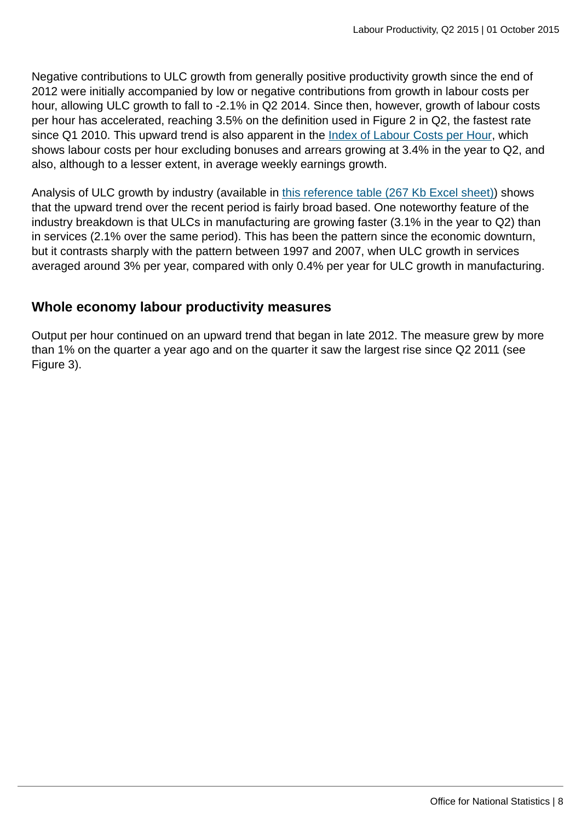Negative contributions to ULC growth from generally positive productivity growth since the end of 2012 were initially accompanied by low or negative contributions from growth in labour costs per hour, allowing ULC growth to fall to -2.1% in Q2 2014. Since then, however, growth of labour costs per hour has accelerated, reaching 3.5% on the definition used in Figure 2 in Q2, the fastest rate since Q1 2010. This upward trend is also apparent in the [Index of Labour Costs per Hour,](http://www.ons.gov.uk:80/ons/rel/ilch/index-of-labour-costs-per-hour--experimental-/index.html) which shows labour costs per hour excluding bonuses and arrears growing at 3.4% in the year to Q2, and also, although to a lesser extent, in average weekly earnings growth.

Analysis of ULC growth by industry (available in [this reference table \(267 Kb Excel sheet\)\)](http://www.ons.gov.uk:80/ons/rel/productivity/labour-productivity/q2-2015/rft-lprodsulc.xls) shows that the upward trend over the recent period is fairly broad based. One noteworthy feature of the industry breakdown is that ULCs in manufacturing are growing faster (3.1% in the year to Q2) than in services (2.1% over the same period). This has been the pattern since the economic downturn, but it contrasts sharply with the pattern between 1997 and 2007, when ULC growth in services averaged around 3% per year, compared with only 0.4% per year for ULC growth in manufacturing.

## **Whole economy labour productivity measures**

Output per hour continued on an upward trend that began in late 2012. The measure grew by more than 1% on the quarter a year ago and on the quarter it saw the largest rise since Q2 2011 (see Figure 3).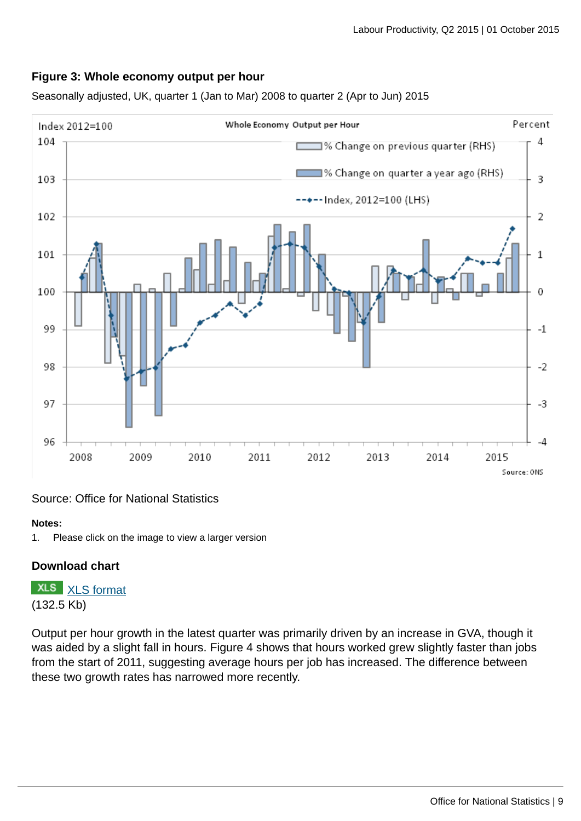## **Figure 3: Whole economy output per hour**

Seasonally adjusted, UK, quarter 1 (Jan to Mar) 2008 to quarter 2 (Apr to Jun) 2015



## Source: Office for National Statistics

#### **Notes:**

1. Please click on the image to view a larger version

## **Download chart**

**XLS** [XLS format](http://www.ons.gov.uk:80/ons/rel/productivity/labour-productivity/q2-2015/chd-we-oph-unlinked.xls) (132.5 Kb)

Output per hour growth in the latest quarter was primarily driven by an increase in GVA, though it was aided by a slight fall in hours. Figure 4 shows that hours worked grew slightly faster than jobs from the start of 2011, suggesting average hours per job has increased. The difference between these two growth rates has narrowed more recently.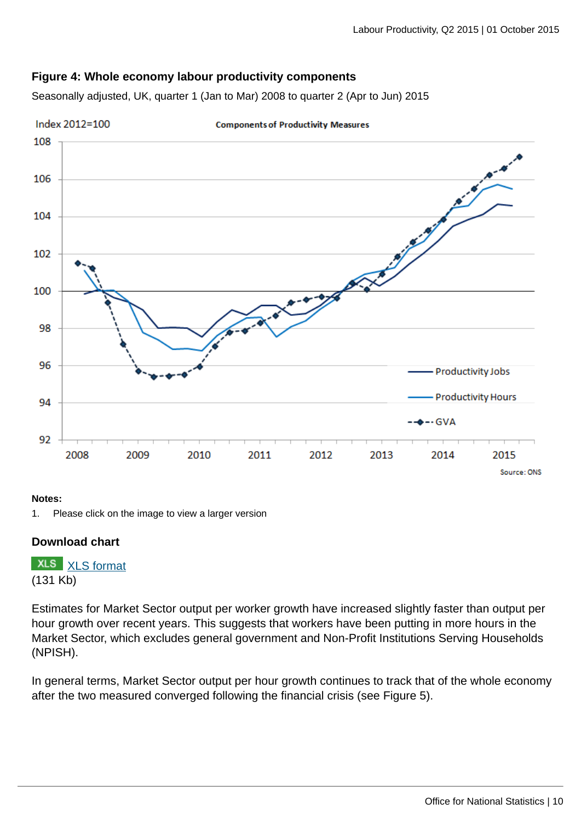## **Figure 4: Whole economy labour productivity components**

Seasonally adjusted, UK, quarter 1 (Jan to Mar) 2008 to quarter 2 (Apr to Jun) 2015



#### **Notes:**

## **Download chart**

**XLS** [XLS format](http://www.ons.gov.uk:80/ons/rel/productivity/labour-productivity/q2-2015/chd-components-of-productivity-measure.xls) (131 Kb)

Estimates for Market Sector output per worker growth have increased slightly faster than output per hour growth over recent years. This suggests that workers have been putting in more hours in the Market Sector, which excludes general government and Non-Profit Institutions Serving Households (NPISH).

In general terms, Market Sector output per hour growth continues to track that of the whole economy after the two measured converged following the financial crisis (see Figure 5).

<sup>1.</sup> Please click on the image to view a larger version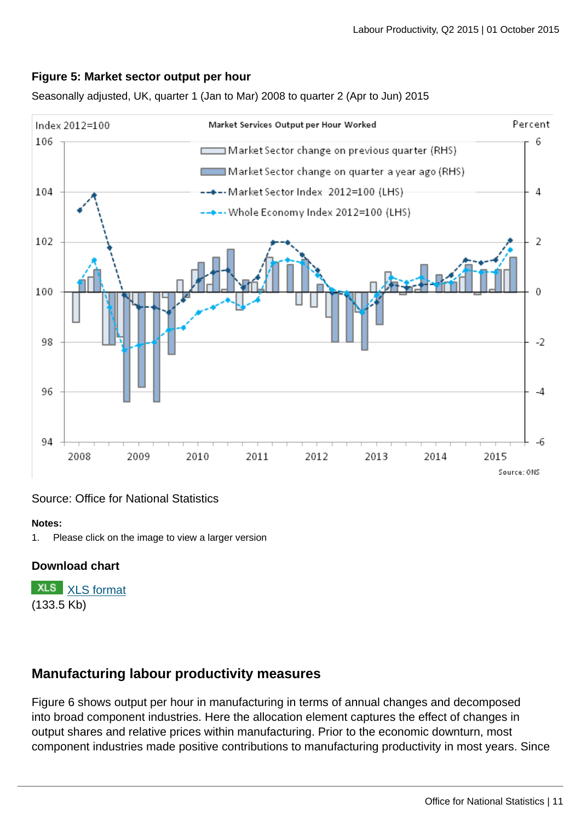

Seasonally adjusted, UK, quarter 1 (Jan to Mar) 2008 to quarter 2 (Apr to Jun) 2015



## Source: Office for National Statistics

#### **Notes:**

1. Please click on the image to view a larger version

## **Download chart**

**XLS** [XLS format](http://www.ons.gov.uk:80/ons/rel/productivity/labour-productivity/q2-2015/chd-ms-oph.xls) (133.5 Kb)

## **Manufacturing labour productivity measures**

Figure 6 shows output per hour in manufacturing in terms of annual changes and decomposed into broad component industries. Here the allocation element captures the effect of changes in output shares and relative prices within manufacturing. Prior to the economic downturn, most component industries made positive contributions to manufacturing productivity in most years. Since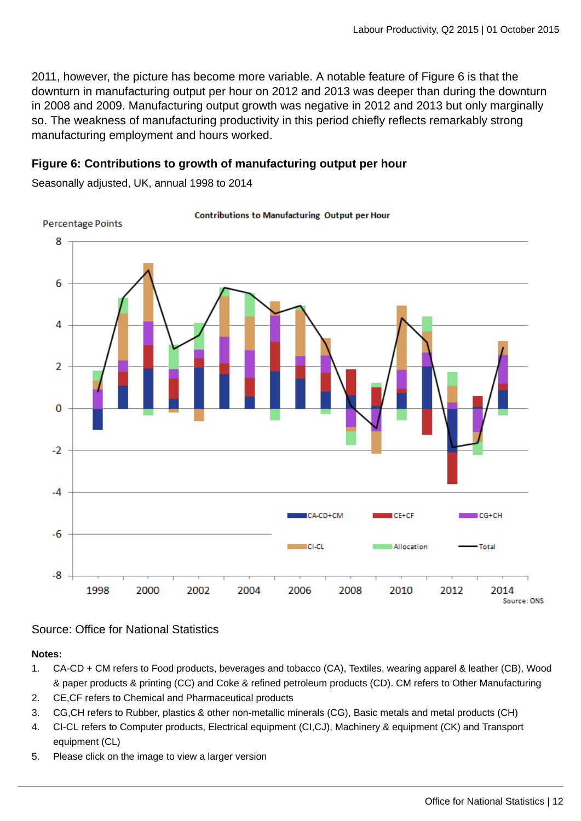2011, however, the picture has become more variable. A notable feature of Figure 6 is that the downturn in manufacturing output per hour on 2012 and 2013 was deeper than during the downturn in 2008 and 2009. Manufacturing output growth was negative in 2012 and 2013 but only marginally so. The weakness of manufacturing productivity in this period chiefly reflects remarkably strong manufacturing employment and hours worked.

## **Figure 6: Contributions to growth of manufacturing output per hour**

Seasonally adjusted, UK, annual 1998 to 2014



#### **Contributions to Manufacturing Output per Hour**

## Source: Office for National Statistics

#### **Notes:**

- 1. CA-CD + CM refers to Food products, beverages and tobacco (CA), Textiles, wearing apparel & leather (CB), Wood & paper products & printing (CC) and Coke & refined petroleum products (CD). CM refers to Other Manufacturing
- 2. CE,CF refers to Chemical and Pharmaceutical products
- 3. CG,CH refers to Rubber, plastics & other non-metallic minerals (CG), Basic metals and metal products (CH)
- 4. CI-CL refers to Computer products, Electrical equipment (CI,CJ), Machinery & equipment (CK) and Transport equipment (CL)
- 5. Please click on the image to view a larger version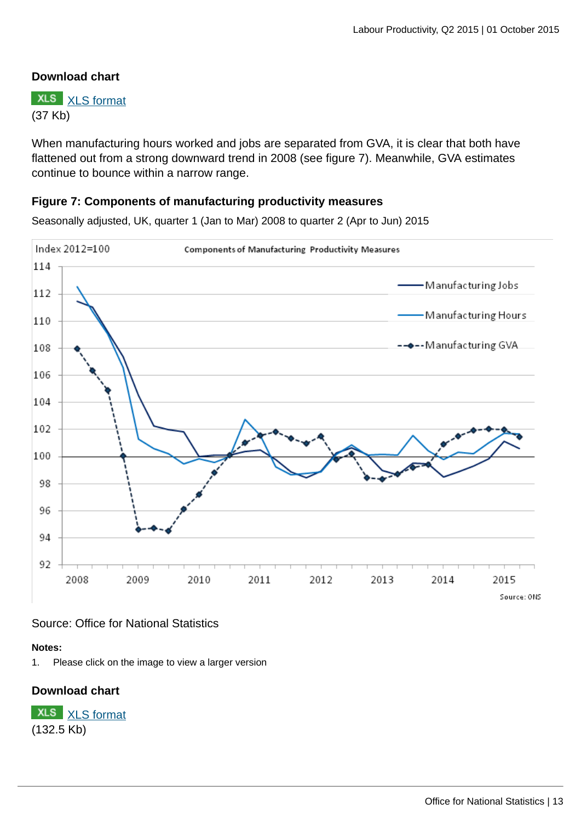## **Download chart**

**XLS** [XLS format](http://www.ons.gov.uk:80/ons/rel/productivity/labour-productivity/q2-2015/chd-manufacturing-composition-unlinked.xls) (37 Kb)

When manufacturing hours worked and jobs are separated from GVA, it is clear that both have flattened out from a strong downward trend in 2008 (see figure 7). Meanwhile, GVA estimates continue to bounce within a narrow range.

### **Figure 7: Components of manufacturing productivity measures**

Seasonally adjusted, UK, quarter 1 (Jan to Mar) 2008 to quarter 2 (Apr to Jun) 2015



Source: Office for National Statistics

#### **Notes:**

1. Please click on the image to view a larger version

## **Download chart**

**XLS** [XLS format](http://www.ons.gov.uk:80/ons/rel/productivity/labour-productivity/q2-2015/chd-components-of-manufacturing-productivity.xls) (132.5 Kb)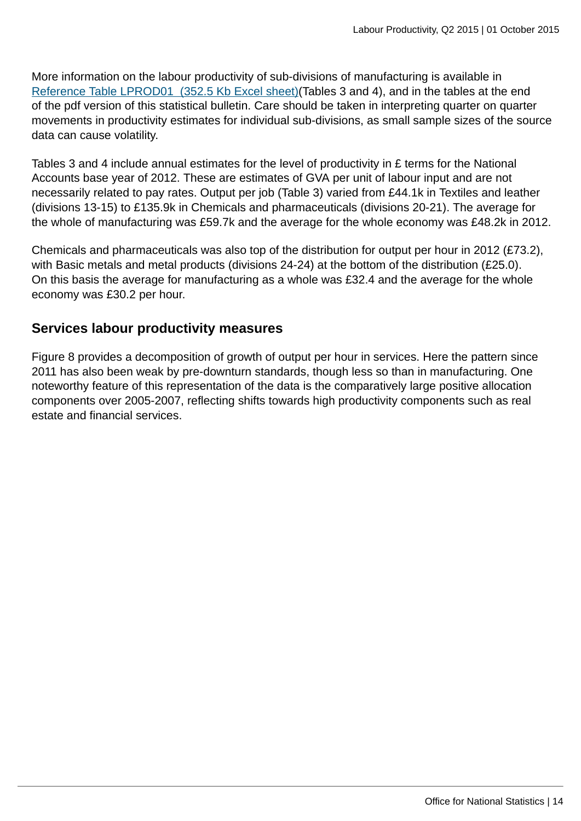More information on the labour productivity of sub-divisions of manufacturing is available in [Reference Table LPROD01 \(352.5 Kb Excel sheet\)\(](http://www.ons.gov.uk:80/ons/rel/productivity/labour-productivity/q2-2015/rft-lprod01.xls)Tables 3 and 4), and in the tables at the end of the pdf version of this statistical bulletin. Care should be taken in interpreting quarter on quarter movements in productivity estimates for individual sub-divisions, as small sample sizes of the source data can cause volatility.

Tables 3 and 4 include annual estimates for the level of productivity in £ terms for the National Accounts base year of 2012. These are estimates of GVA per unit of labour input and are not necessarily related to pay rates. Output per job (Table 3) varied from £44.1k in Textiles and leather (divisions 13-15) to £135.9k in Chemicals and pharmaceuticals (divisions 20-21). The average for the whole of manufacturing was £59.7k and the average for the whole economy was £48.2k in 2012.

Chemicals and pharmaceuticals was also top of the distribution for output per hour in 2012 (£73.2), with Basic metals and metal products (divisions 24-24) at the bottom of the distribution (£25.0). On this basis the average for manufacturing as a whole was £32.4 and the average for the whole economy was £30.2 per hour.

## **Services labour productivity measures**

Figure 8 provides a decomposition of growth of output per hour in services. Here the pattern since 2011 has also been weak by pre-downturn standards, though less so than in manufacturing. One noteworthy feature of this representation of the data is the comparatively large positive allocation components over 2005-2007, reflecting shifts towards high productivity components such as real estate and financial services.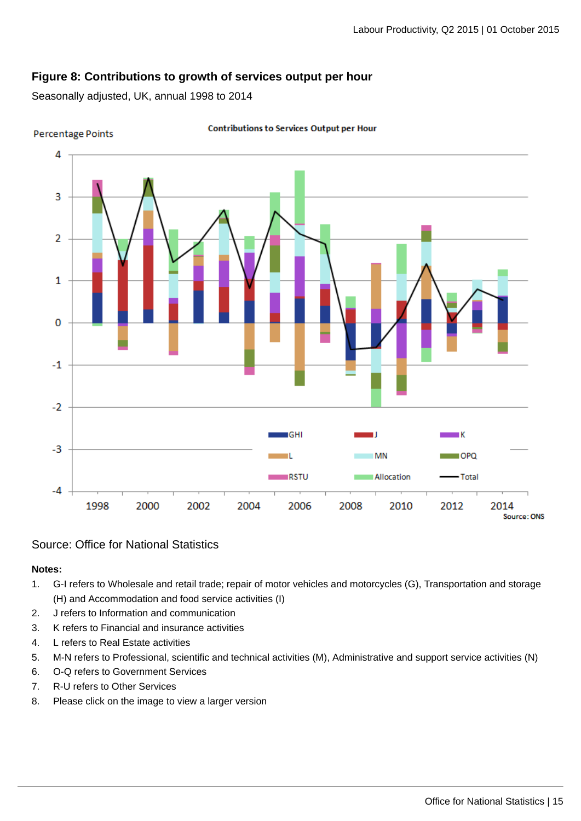## **Figure 8: Contributions to growth of services output per hour**

Seasonally adjusted, UK, annual 1998 to 2014



**Percentage Points** 

#### **Contributions to Services Output per Hour**

Source: Office for National Statistics

#### **Notes:**

- 1. G-I refers to Wholesale and retail trade; repair of motor vehicles and motorcycles (G), Transportation and storage (H) and Accommodation and food service activities (I)
- 2. J refers to Information and communication
- 3. K refers to Financial and insurance activities
- 4. L refers to Real Estate activities
- 5. M-N refers to Professional, scientific and technical activities (M), Administrative and support service activities (N)
- 6. O-Q refers to Government Services
- 7. R-U refers to Other Services
- 8. Please click on the image to view a larger version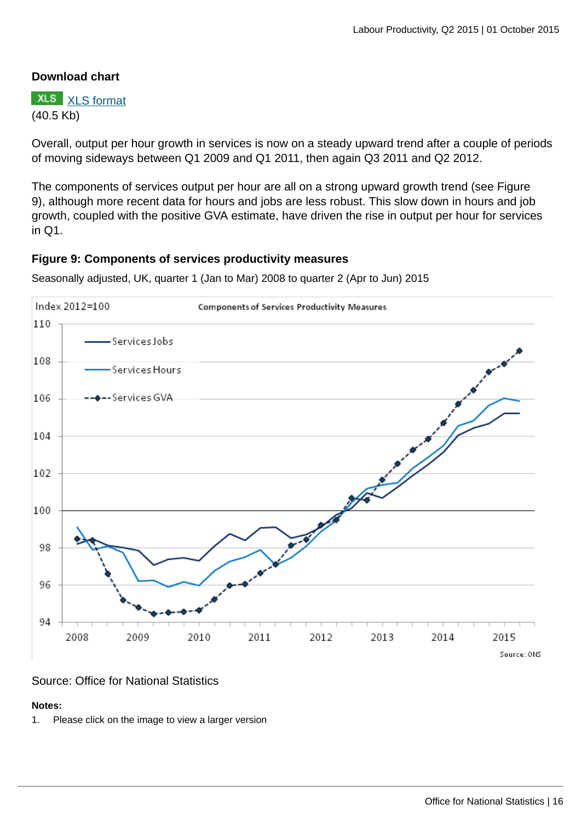## **Download chart**

**XLS** [XLS format](http://www.ons.gov.uk:80/ons/rel/productivity/labour-productivity/q2-2015/chd-services-composition-unlinked.xls) (40.5 Kb)

Overall, output per hour growth in services is now on a steady upward trend after a couple of periods of moving sideways between Q1 2009 and Q1 2011, then again Q3 2011 and Q2 2012.

The components of services output per hour are all on a strong upward growth trend (see Figure 9), although more recent data for hours and jobs are less robust. This slow down in hours and job growth, coupled with the positive GVA estimate, have driven the rise in output per hour for services in Q1.

## **Figure 9: Components of services productivity measures**

Seasonally adjusted, UK, quarter 1 (Jan to Mar) 2008 to quarter 2 (Apr to Jun) 2015



## Source: Office for National Statistics

#### **Notes:**

1. Please click on the image to view a larger version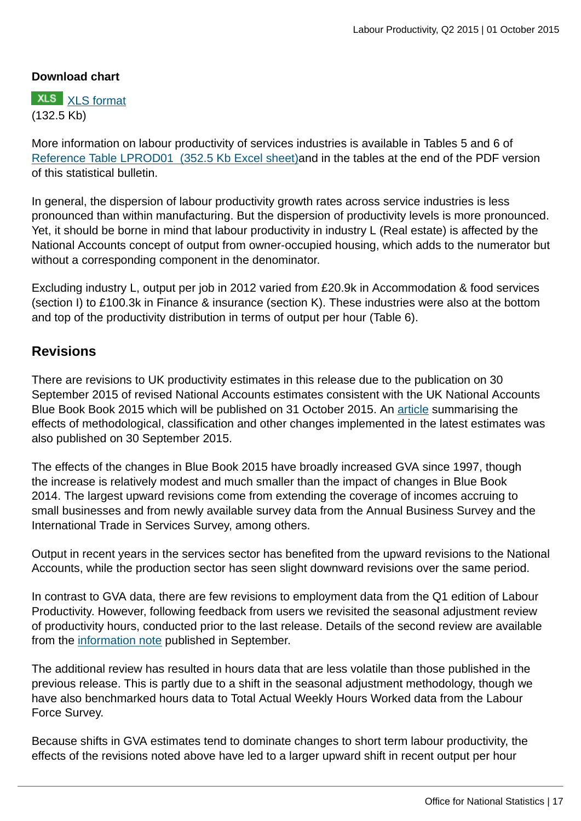## **Download chart**

**XLS** [XLS format](http://www.ons.gov.uk:80/ons/rel/productivity/labour-productivity/q2-2015/chd-components-of-services-productivity.xls) (132.5 Kb)

More information on labour productivity of services industries is available in Tables 5 and 6 of [Reference Table LPROD01 \(352.5 Kb Excel sheet\)a](http://www.ons.gov.uk:80/ons/rel/productivity/labour-productivity/q2-2015/rft-lprod01.xls)nd in the tables at the end of the PDF version of this statistical bulletin.

In general, the dispersion of labour productivity growth rates across service industries is less pronounced than within manufacturing. But the dispersion of productivity levels is more pronounced. Yet, it should be borne in mind that labour productivity in industry L (Real estate) is affected by the National Accounts concept of output from owner-occupied housing, which adds to the numerator but without a corresponding component in the denominator.

Excluding industry L, output per job in 2012 varied from £20.9k in Accommodation & food services (section I) to £100.3k in Finance & insurance (section K). These industries were also at the bottom and top of the productivity distribution in terms of output per hour (Table 6).

## **Revisions**

There are revisions to UK productivity estimates in this release due to the publication on 30 September 2015 of revised National Accounts estimates consistent with the UK National Accounts Blue Book Book 2015 which will be published on 31 October 2015. An [article](http://www.ons.gov.uk:80/ons/rel/naa1-rd/national-accounts-articles/impact-of-methods-changes-to-the-national-accounts--sector---financial-accounts-and-balance-of-payments--blue-book-and-pink-book-2015-.html) summarising the effects of methodological, classification and other changes implemented in the latest estimates was also published on 30 September 2015.

The effects of the changes in Blue Book 2015 have broadly increased GVA since 1997, though the increase is relatively modest and much smaller than the impact of changes in Blue Book 2014. The largest upward revisions come from extending the coverage of incomes accruing to small businesses and from newly available survey data from the Annual Business Survey and the International Trade in Services Survey, among others.

Output in recent years in the services sector has benefited from the upward revisions to the National Accounts, while the production sector has seen slight downward revisions over the same period.

In contrast to GVA data, there are few revisions to employment data from the Q1 edition of Labour Productivity. However, following feedback from users we revisited the seasonal adjustment review of productivity hours, conducted prior to the last release. Details of the second review are available from the [information note](http://www.ons.gov.uk/ons/guide-method/method-quality/specific/economy/productivity-measures/productivity-articles/new-developments-in-ons-labour-productivity-estimates-information-note-.pdf) published in September.

The additional review has resulted in hours data that are less volatile than those published in the previous release. This is partly due to a shift in the seasonal adjustment methodology, though we have also benchmarked hours data to Total Actual Weekly Hours Worked data from the Labour Force Survey.

Because shifts in GVA estimates tend to dominate changes to short term labour productivity, the effects of the revisions noted above have led to a larger upward shift in recent output per hour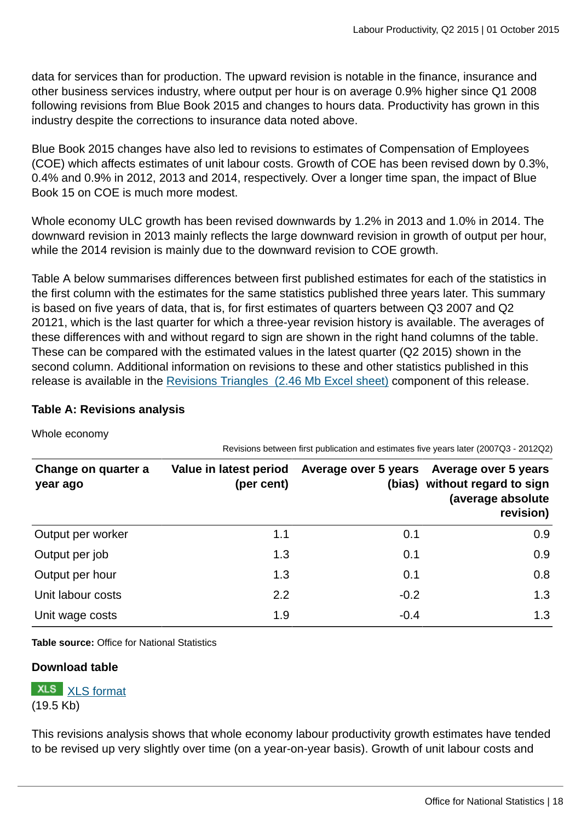data for services than for production. The upward revision is notable in the finance, insurance and other business services industry, where output per hour is on average 0.9% higher since Q1 2008 following revisions from Blue Book 2015 and changes to hours data. Productivity has grown in this industry despite the corrections to insurance data noted above.

Blue Book 2015 changes have also led to revisions to estimates of Compensation of Employees (COE) which affects estimates of unit labour costs. Growth of COE has been revised down by 0.3%, 0.4% and 0.9% in 2012, 2013 and 2014, respectively. Over a longer time span, the impact of Blue Book 15 on COE is much more modest.

Whole economy ULC growth has been revised downwards by 1.2% in 2013 and 1.0% in 2014. The downward revision in 2013 mainly reflects the large downward revision in growth of output per hour, while the 2014 revision is mainly due to the downward revision to COE growth.

Table A below summarises differences between first published estimates for each of the statistics in the first column with the estimates for the same statistics published three years later. This summary is based on five years of data, that is, for first estimates of quarters between Q3 2007 and Q2 20121, which is the last quarter for which a three-year revision history is available. The averages of these differences with and without regard to sign are shown in the right hand columns of the table. These can be compared with the estimated values in the latest quarter (Q2 2015) shown in the second column. Additional information on revisions to these and other statistics published in this release is available in the [Revisions Triangles \(2.46 Mb Excel sheet\)](http://www.ons.gov.uk:80/ons/rel/productivity/labour-productivity/q2-2015/rft-lprodrev.xls) component of this release.

## **Table A: Revisions analysis**

Whole economy

| Change on quarter a<br>year ago | Value in latest period<br>(per cent) |        | Average over 5 years Average over 5 years<br>(bias) without regard to sign<br>(average absolute<br>revision) |
|---------------------------------|--------------------------------------|--------|--------------------------------------------------------------------------------------------------------------|
| Output per worker               | 1.1                                  | 0.1    | 0.9                                                                                                          |
| Output per job                  | 1.3                                  | 0.1    | 0.9                                                                                                          |
| Output per hour                 | 1.3                                  | 0.1    | 0.8                                                                                                          |
| Unit labour costs               | 2.2                                  | $-0.2$ | 1.3                                                                                                          |
| Unit wage costs                 | 1.9                                  | $-0.4$ | 1.3                                                                                                          |

Revisions between first publication and estimates five years later (2007Q3 - 2012Q2)

**Table source:** Office for National Statistics

## **Download table**

**XLS** [XLS format](http://www.ons.gov.uk:80/ons/rel/productivity/labour-productivity/q2-2015/prt-table-b.xls) (19.5 Kb)

This revisions analysis shows that whole economy labour productivity growth estimates have tended to be revised up very slightly over time (on a year-on-year basis). Growth of unit labour costs and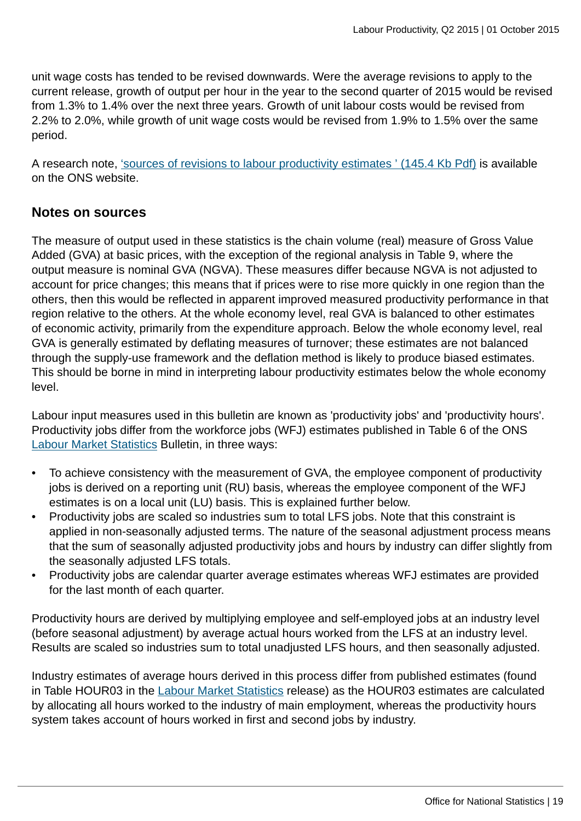unit wage costs has tended to be revised downwards. Were the average revisions to apply to the current release, growth of output per hour in the year to the second quarter of 2015 would be revised from 1.3% to 1.4% over the next three years. Growth of unit labour costs would be revised from 2.2% to 2.0%, while growth of unit wage costs would be revised from 1.9% to 1.5% over the same period.

A research note, ['sources of revisions to labour productivity estimates ' \(145.4 Kb Pdf\)](http://www.ons.gov.uk:80/ons/rel/productivity/labour-productivity/q1-2012/rpd-lprod-revisions-paper-june12.pdf) is available on the ONS website.

## **Notes on sources**

The measure of output used in these statistics is the chain volume (real) measure of Gross Value Added (GVA) at basic prices, with the exception of the regional analysis in Table 9, where the output measure is nominal GVA (NGVA). These measures differ because NGVA is not adjusted to account for price changes; this means that if prices were to rise more quickly in one region than the others, then this would be reflected in apparent improved measured productivity performance in that region relative to the others. At the whole economy level, real GVA is balanced to other estimates of economic activity, primarily from the expenditure approach. Below the whole economy level, real GVA is generally estimated by deflating measures of turnover; these estimates are not balanced through the supply-use framework and the deflation method is likely to produce biased estimates. This should be borne in mind in interpreting labour productivity estimates below the whole economy level.

Labour input measures used in this bulletin are known as 'productivity jobs' and 'productivity hours'. Productivity jobs differ from the workforce jobs (WFJ) estimates published in Table 6 of the ONS [Labour Market Statistics](http://www.ons.gov.uk/ons/rel/lms/labour-market-statistics/index.html) Bulletin, in three ways:

- To achieve consistency with the measurement of GVA, the employee component of productivity jobs is derived on a reporting unit (RU) basis, whereas the employee component of the WFJ estimates is on a local unit (LU) basis. This is explained further below.
- Productivity jobs are scaled so industries sum to total LFS jobs. Note that this constraint is applied in non-seasonally adjusted terms. The nature of the seasonal adjustment process means that the sum of seasonally adjusted productivity jobs and hours by industry can differ slightly from the seasonally adjusted LFS totals.
- Productivity jobs are calendar quarter average estimates whereas WFJ estimates are provided for the last month of each quarter.

Productivity hours are derived by multiplying employee and self-employed jobs at an industry level (before seasonal adjustment) by average actual hours worked from the LFS at an industry level. Results are scaled so industries sum to total unadjusted LFS hours, and then seasonally adjusted.

Industry estimates of average hours derived in this process differ from published estimates (found in Table HOUR03 in the [Labour Market Statistics](http://www.ons.gov.uk:80/ons/rel/lms/labour-market-statistics/index.html) release) as the HOUR03 estimates are calculated by allocating all hours worked to the industry of main employment, whereas the productivity hours system takes account of hours worked in first and second jobs by industry.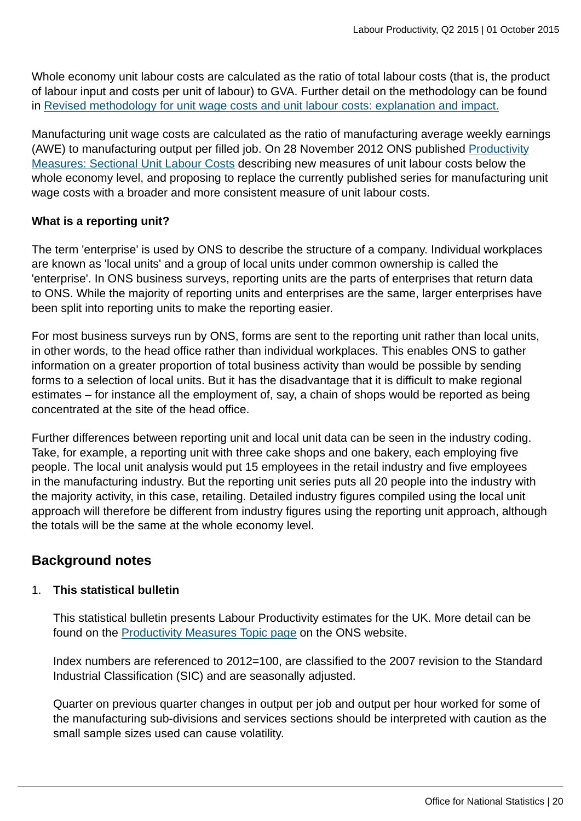Whole economy unit labour costs are calculated as the ratio of total labour costs (that is, the product of labour input and costs per unit of labour) to GVA. Further detail on the methodology can be found in [Revised methodology for unit wage costs and unit labour costs: explanation and impact.](http://www.ons.gov.uk:80/ons/rel/icp/productivity-measures/revised-methodology-for-unit-wage-costs-and-unit-labour-costs--explanation-and-impact.html)

Manufacturing unit wage costs are calculated as the ratio of manufacturing average weekly earnings (AWE) to manufacturing output per filled job. On 28 November 2012 ONS published [Productivity](http://www.ons.gov.uk:80/ons/rel/icp/productivity-measures/sectional-unit-labour-costs/index.html) [Measures: Sectional Unit Labour Costs](http://www.ons.gov.uk:80/ons/rel/icp/productivity-measures/sectional-unit-labour-costs/index.html) describing new measures of unit labour costs below the whole economy level, and proposing to replace the currently published series for manufacturing unit wage costs with a broader and more consistent measure of unit labour costs.

## **What is a reporting unit?**

The term 'enterprise' is used by ONS to describe the structure of a company. Individual workplaces are known as 'local units' and a group of local units under common ownership is called the 'enterprise'. In ONS business surveys, reporting units are the parts of enterprises that return data to ONS. While the majority of reporting units and enterprises are the same, larger enterprises have been split into reporting units to make the reporting easier.

For most business surveys run by ONS, forms are sent to the reporting unit rather than local units, in other words, to the head office rather than individual workplaces. This enables ONS to gather information on a greater proportion of total business activity than would be possible by sending forms to a selection of local units. But it has the disadvantage that it is difficult to make regional estimates – for instance all the employment of, say, a chain of shops would be reported as being concentrated at the site of the head office.

Further differences between reporting unit and local unit data can be seen in the industry coding. Take, for example, a reporting unit with three cake shops and one bakery, each employing five people. The local unit analysis would put 15 employees in the retail industry and five employees in the manufacturing industry. But the reporting unit series puts all 20 people into the industry with the majority activity, in this case, retailing. Detailed industry figures compiled using the local unit approach will therefore be different from industry figures using the reporting unit approach, although the totals will be the same at the whole economy level.

## **Background notes**

## 1. **This statistical bulletin**

This statistical bulletin presents Labour Productivity estimates for the UK. More detail can be found on the [Productivity Measures Topic page](http://www.ons.gov.uk/ons/taxonomy/index.html?nscl=Productivity+Measures) on the ONS website.

Index numbers are referenced to 2012=100, are classified to the 2007 revision to the Standard Industrial Classification (SIC) and are seasonally adjusted.

Quarter on previous quarter changes in output per job and output per hour worked for some of the manufacturing sub-divisions and services sections should be interpreted with caution as the small sample sizes used can cause volatility.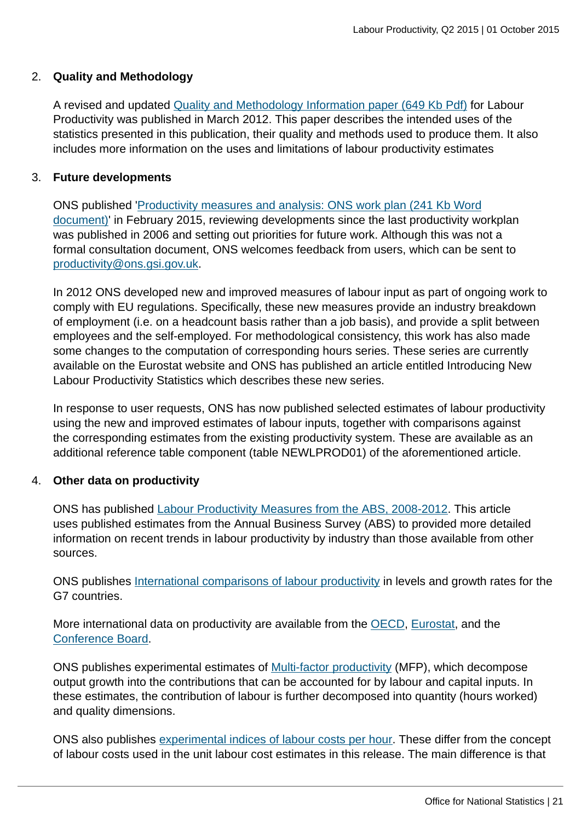## 2. **Quality and Methodology**

A revised and updated [Quality and Methodology Information paper \(649 Kb Pdf\)](http://www.ons.gov.uk:80/ons/guide-method/method-quality/quality/quality-information/economic-statistics/quality-and-methodology-information-for-labour-productivity.pdf) for Labour Productivity was published in March 2012. This paper describes the intended uses of the statistics presented in this publication, their quality and methods used to produce them. It also includes more information on the uses and limitations of labour productivity estimates

## 3. **Future developments**

ONS published '[Productivity measures and analysis: ONS work plan \(241 Kb Word](http://www.ons.gov.uk:80/ons/guide-method/method-quality/specific/economy/productivity-measures/productivity-articles/productivity-measures-and-analysis--ons-work-plan.doc) [document\)](http://www.ons.gov.uk:80/ons/guide-method/method-quality/specific/economy/productivity-measures/productivity-articles/productivity-measures-and-analysis--ons-work-plan.doc)' in February 2015, reviewing developments since the last productivity workplan was published in 2006 and setting out priorities for future work. Although this was not a formal consultation document, ONS welcomes feedback from users, which can be sent to [productivity@ons.gsi.gov.uk](mailto:productivity@ons.gsi.gov.uk).

In 2012 ONS developed new and improved measures of labour input as part of ongoing work to comply with EU regulations. Specifically, these new measures provide an industry breakdown of employment (i.e. on a headcount basis rather than a job basis), and provide a split between employees and the self-employed. For methodological consistency, this work has also made some changes to the computation of corresponding hours series. These series are currently available on the Eurostat website and ONS has published an article entitled Introducing New Labour Productivity Statistics which describes these new series.

In response to user requests, ONS has now published selected estimates of labour productivity using the new and improved estimates of labour inputs, together with comparisons against the corresponding estimates from the existing productivity system. These are available as an additional reference table component (table NEWLPROD01) of the aforementioned article.

## 4. **Other data on productivity**

ONS has published [Labour Productivity Measures from the ABS, 2008-2012](http://www.ons.gov.uk:80/ons/rel/icp/productivity-measures/index.html). This article uses published estimates from the Annual Business Survey (ABS) to provided more detailed information on recent trends in labour productivity by industry than those available from other sources.

ONS publishes [International comparisons of labour productivity](http://www.ons.gov.uk:80/ons/rel/icp/international-comparisons-of-productivity/index.html) in levels and growth rates for the G7 countries.

More international data on productivity are available from the [OECD](http://www.ons.gov.uk:80/ons/external-links/organisations/oecd/oecd--main-economic-indicators--mei-.html), [Eurostat,](http://epp.eurostat.ec.europa.eu/portal/page/portal/national_accounts/data/database) and the [Conference Board.](http://www.conference-board.org/data/economydatabase)

ONS publishes experimental estimates of [Multi-factor productivity](http://www.ons.gov.uk:80/ons/rel/icp/multi-factor-productivity--experimental-/index.html) (MFP), which decompose output growth into the contributions that can be accounted for by labour and capital inputs. In these estimates, the contribution of labour is further decomposed into quantity (hours worked) and quality dimensions.

ONS also publishes [experimental indices of labour costs per hour.](http://www.ons.gov.uk/ons/rel/ilch/index-of-labour-costs-per-hour--experimental-/index.html) These differ from the concept of labour costs used in the unit labour cost estimates in this release. The main difference is that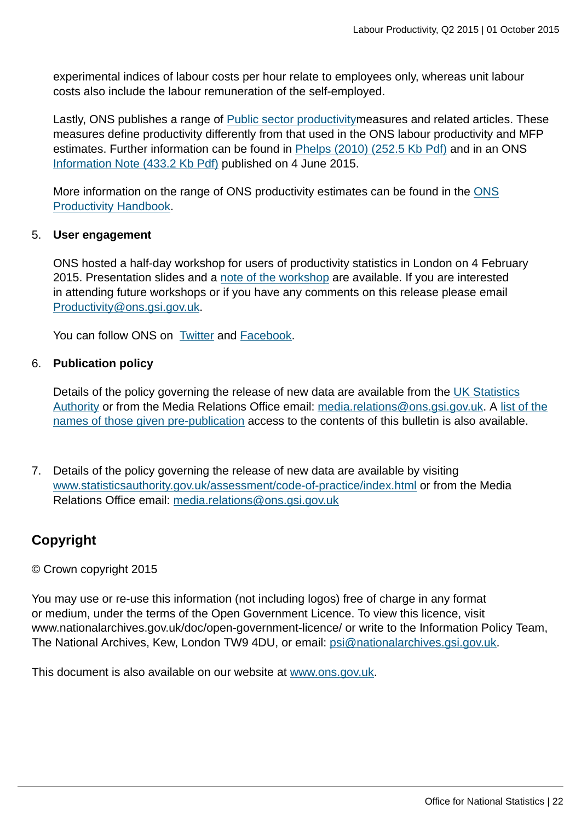experimental indices of labour costs per hour relate to employees only, whereas unit labour costs also include the labour remuneration of the self-employed.

Lastly, ONS publishes a range of [Public sector productivitym](http://www.ons.gov.uk/ons/guide-method/method-quality/specific/economy/productivity-measures/public-service-productivity/faqs/index.html)easures and related articles. These measures define productivity differently from that used in the ONS labour productivity and MFP estimates. Further information can be found in [Phelps \(2010\) \(252.5 Kb Pdf\)](http://www.ons.gov.uk:80/ons/rel/elmr/economic-and-labour-market-review/no--5--may-2010/comparing-different-estimates-of-productivity-produced-by-the-office-for-national-statistics.pdf) and in an ONS [Information Note \(433.2 Kb Pdf\)](http://www.ons.gov.uk:80/ons/guide-method/method-quality/specific/economy/productivity-measures/productivity-articles/comparing-public-service-productivity-estimates.pdf) published on 4 June 2015.

More information on the range of ONS productivity estimates can be found in the [ONS](http://www.ons.gov.uk/ons/guide-method/method-quality/specific/economy/productivity-measures/productivity-handbook/index.html) [Productivity Handbook](http://www.ons.gov.uk/ons/guide-method/method-quality/specific/economy/productivity-measures/productivity-handbook/index.html).

### 5. **User engagement**

ONS hosted a half-day workshop for users of productivity statistics in London on 4 February 2015. Presentation slides and a [note of the workshop](http://www.ons.gov.uk/ons/guide-method/method-quality/specific/economy/productivity-measures/productivity-articles/index.html) are available. If you are interested in attending future workshops or if you have any comments on this release please email [Productivity@ons.gsi.gov.uk](mailto:Productivity@ons.gsi.gov.uk).

You can follow ONS on [Twitter](http://www.ons.gov.uk:80/ons/external-links/social-media/ons-twitter.html) and [Facebook.](http://www.ons.gov.uk:80/ons/external-links/social-media/index.html)

### 6. **Publication policy**

Details of the policy governing the release of new data are available from the [UK Statistics](http://www.statisticsauthority.gov.uk/assessment/code-of-practice/index.html) [Authority](http://www.statisticsauthority.gov.uk/assessment/code-of-practice/index.html) or from the Media Relations Office email: [media.relations@ons.gsi.gov.uk.](mailto:media.relations@ons.gsi.gov.uk) A [list of the](http://www.ons.gov.uk:80/ons/rel/productivity/labour-productivity/q2-2015/pra.html) [names of those given pre-publication](http://www.ons.gov.uk:80/ons/rel/productivity/labour-productivity/q2-2015/pra.html) access to the contents of this bulletin is also available.

7. Details of the policy governing the release of new data are available by visiting [www.statisticsauthority.gov.uk/assessment/code-of-practice/index.html](http://www.statisticsauthority.gov.uk/assessment/code-of-practice/index.html) or from the Media Relations Office email: [media.relations@ons.gsi.gov.uk](mailto:media.relations@ons.gsi.gov.uk)

## **Copyright**

## © Crown copyright 2015

You may use or re-use this information (not including logos) free of charge in any format or medium, under the terms of the Open Government Licence. To view this licence, visit www.nationalarchives.gov.uk/doc/open-government-licence/ or write to the Information Policy Team, The National Archives, Kew, London TW9 4DU, or email: [psi@nationalarchives.gsi.gov.uk](mailto:psi@nationalarchives.gsi.gov.uk).

This document is also available on our website at [www.ons.gov.uk.](http://www.ons.gov.uk/)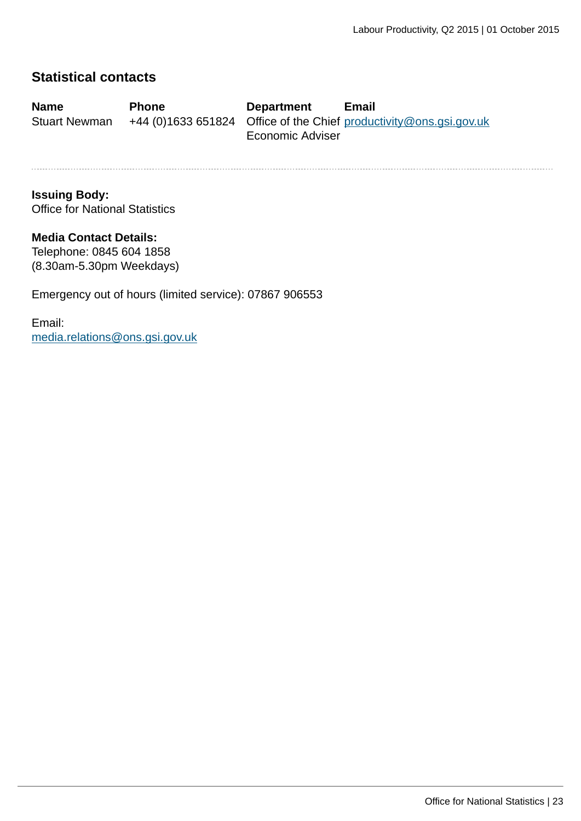## **Statistical contacts**

| <b>Name</b>          | <b>Phone</b> | <b>Department</b>       | <b>Email</b>                                                       |
|----------------------|--------------|-------------------------|--------------------------------------------------------------------|
| <b>Stuart Newman</b> |              |                         | +44 (0)1633 651824 Office of the Chief productivity@ons.gsi.gov.uk |
|                      |              | <b>Economic Adviser</b> |                                                                    |

## **Issuing Body:** Office for National Statistics

# **Media Contact Details:**

Telephone: 0845 604 1858 (8.30am-5.30pm Weekdays)

Emergency out of hours (limited service): 07867 906553

Email: [media.relations@ons.gsi.gov.uk](mailto:media.relations@ons.gsi.gov.uk)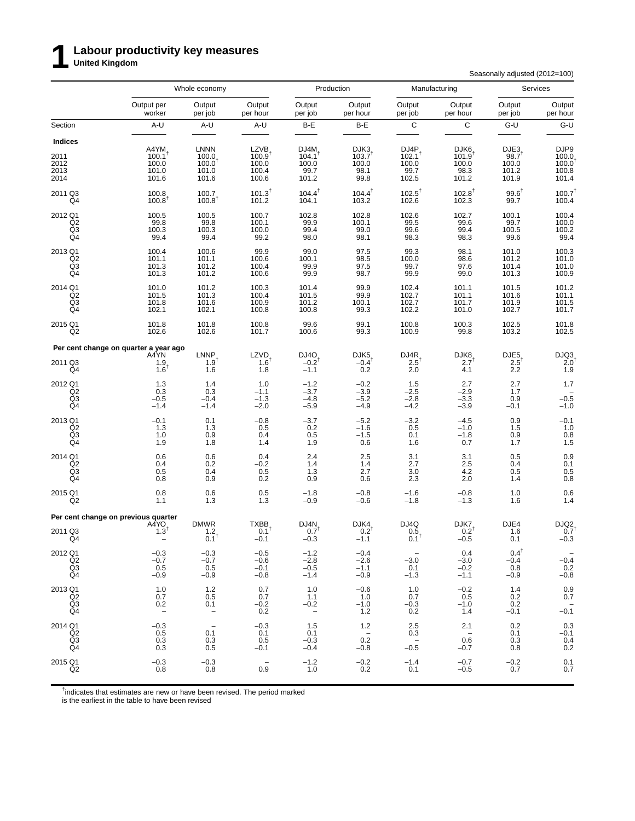# **1 Labour productivity key measures United Kingdom**

Seasonally adjusted (2012=100)

|                                                                |                                                                 | Whole economy                                                    |                                                      |                                                          | Production                                                |                                                  | Manufacturing                                          |                                                        | Services                                            |
|----------------------------------------------------------------|-----------------------------------------------------------------|------------------------------------------------------------------|------------------------------------------------------|----------------------------------------------------------|-----------------------------------------------------------|--------------------------------------------------|--------------------------------------------------------|--------------------------------------------------------|-----------------------------------------------------|
|                                                                | Output per<br>worker                                            | Output<br>per job                                                | Output<br>per hour                                   | Output<br>per job                                        | Output<br>per hour                                        | Output<br>per job                                | Output<br>per hour                                     | Output<br>per job                                      | Output<br>per hour                                  |
| Section                                                        | A-U                                                             | A-U                                                              | A-U                                                  | B-E                                                      | B-E                                                       | $\mathbf C$                                      | C                                                      | $G-U$                                                  | G-U                                                 |
| Indices<br>2011<br>2012<br>2013<br>2014                        | $A4YM$ <sub>100.1</sub> <sup>t</sup><br>100.0<br>101.0<br>101.6 | <b>LNNN</b><br>$100.0$<br>$100.0$ <sup>†</sup><br>101.0<br>101.6 | LZVB<br>$100.9^{\dagger}$<br>100.0<br>100.4<br>100.6 | DJ4M <sub>4</sub><br>$104.1^T$<br>100.0<br>99.7<br>101.2 | DJK3<br>$103.7$ <sup>1</sup><br>100.0<br>98.1<br>99.8     | $DJ4P_{102.1}$<br>100.0<br>99.7<br>102.5         | DJK6<br>$101.9$ <sup>1</sup><br>100.0<br>98.3<br>101.2 | DJE3<br>$98.7$ <sup>1</sup><br>100.0<br>101.2<br>101.9 | DJP9<br>$100.0$<br>$100.0$<br>100.8<br>101.4        |
| 2011 Q3<br>Q4                                                  | $100.8$ <sub>100.8</sub> <sup>t</sup>                           | 100.7<br>$100.8$ <sup>t</sup>                                    | $101.3^{\dagger}$<br>101.2                           | $104.4^{\dagger}$<br>104.1                               | $104.4^{\dagger}$<br>103.2                                | $102.5^{\dagger}$<br>102.6                       | $102.8^{\dagger}$<br>102.3                             | $99.6^{\dagger}$<br>99.7                               | $100.7^{\dagger}$<br>100.4                          |
| 2012 Q1<br>Q2<br>Q3<br>Q4                                      | 100.5<br>99.8<br>100.3<br>99.4                                  | 100.5<br>99.8<br>100.3<br>99.4                                   | 100.7<br>100.1<br>100.0<br>99.2                      | 102.8<br>99.9<br>99.4<br>98.0                            | 102.8<br>100.1<br>99.0<br>98.1                            | 102.6<br>99.5<br>99.6<br>98.3                    | 102.7<br>99.6<br>99.4<br>98.3                          | 100.1<br>99.7<br>100.5<br>99.6                         | 100.4<br>100.0<br>100.2<br>99.4                     |
| 2013 Q1<br>$_{\rm Q3}^{\rm Q2}$<br>Q4                          | 100.4<br>101.1<br>101.3<br>101.3                                | 100.6<br>101.1<br>101.2<br>101.2                                 | 99.9<br>100.6<br>100.4<br>100.6                      | 99.0<br>100.1<br>99.9<br>99.9                            | 97.5<br>98.5<br>97.5<br>98.7                              | 99.3<br>$\frac{100.0}{99.7}$<br>99.9             | 98.1<br>98.6<br>97.6<br>99.0                           | 101.0<br>101.2<br>101.4<br>101.3                       | 100.3<br>101.0<br>101.0<br>100.9                    |
| 2014 Q1<br>Q2<br>$^{Q3}_{Q4}$                                  | 101.0<br>101.5<br>101.8<br>102.1                                | 101.2<br>101.3<br>101.6<br>102.1                                 | 100.3<br>100.4<br>100.9<br>100.8                     | 101.4<br>101.5<br>101.2<br>100.8                         | 99.9<br>99.9<br>100.1<br>99.3                             | 102.4<br>102.7<br>102.7<br>102.2                 | 101.1<br>101.1<br>101.7<br>101.0                       | 101.5<br>101.6<br>101.9<br>102.7                       | 101.2<br>101.1<br>101.5<br>101.7                    |
| 2015 Q1<br>Q2                                                  | 101.8<br>102.6                                                  | 101.8<br>102.6                                                   | 100.8<br>101.7                                       | 99.6<br>100.6                                            | 99.1<br>99.3                                              | 100.8<br>100.9                                   | $\begin{array}{c} 100.3 \\ 99.8 \end{array}$           | 102.5<br>103.2                                         | 101.8<br>102.5                                      |
|                                                                | Per cent change on quarter a year ago                           |                                                                  |                                                      |                                                          |                                                           |                                                  |                                                        |                                                        |                                                     |
| 2011 Q3<br>Q4                                                  | A4YN<br>1.9<br>$1.6^{\dagger}$                                  | $LNNP$ <sub>1.9</sub> t<br>1.6                                   | <b>LZVD</b><br>$1.6^{\dagger}$<br>1.8                | $D$ J4O <sub>-0.2</sub> <sup>t</sup><br>$-1.1$           | $DJK5 - 0.4$ <sup>†</sup><br>0.2                          | $DJ4R$ <sub>2.5</sub> <sup>t</sup><br>2.0        | $DJK8$ <sub>2.7</sub> <sup>t</sup><br>4.1              | $DJE5$ <sub>2.5</sub><br>2.2                           | $D$ JQ3<br>2.0 <sup>1</sup><br>1.9                  |
| 2012 Q1<br>Q2<br>Q3<br>$\overline{Q4}$                         | $1.3$<br>0.3<br>$-0.5$<br>$-1.4$                                | 1.4<br>0.3<br>$-0.4$<br>$-1.4$                                   | 1.0<br>$-1.1$<br>$-1.3$<br>$-2.0$                    | $-1.2$<br>$-3.7$<br>$-4.8$<br>$-5.9$                     | $-0.2$<br>$-3.9$<br>$-5.2$<br>$-4.9$                      | 1.5<br>$-2.5$<br>$-2.8$<br>$-4.2$                | 2.7<br>$-2.9$<br>$-3.3$<br>$-3.9$                      | 2.7<br>1.7<br>0.9<br>$-0.1$                            | 1.7<br>$-0.5$<br>$-1.0$                             |
| 2013 Q1<br>Q2<br>Q <sub>3</sub><br>Q4                          | $-0.1$<br>1.3<br>1.0<br>1.9                                     | 0.1<br>1.3<br>0.9<br>1.8                                         | $-0.8$<br>0.5<br>0.4<br>1.4                          | $-3.7$<br>0.2<br>0.5<br>1.9                              | $-5.2$<br>$-1.6$<br>$-1.5$<br>0.6                         | $^{-3.2}_{0.5}$<br>0.1<br>1.6                    | $-4.5$<br>$-1.0$<br>$-1.8$<br>0.7                      | $0.9$<br>1.5<br>0.9<br>1.7                             | $-0.1$<br>1.0<br>0.8<br>1.5                         |
| 2014 Q1<br>Q <sub>2</sub><br>$\overline{Q3}$<br>Q <sub>4</sub> | 0.6<br>0.4<br>0.5<br>0.8                                        | 0.6<br>0.2<br>0.4<br>0.9                                         | 0.4<br>$-0.2$<br>0.5<br>0.2                          | 2.4<br>1.4<br>1.3<br>0.9                                 | 2.5<br>$^{1.4}_{2.7}$<br>0.6                              | 3.1<br>2.7<br>3.0<br>2.3                         | 3.1<br>$^{2.5}_{4.2}$<br>2.0                           | 0.5<br>0.4<br>0.5<br>1.4                               | 0.9<br>$0.1$<br>$0.5$<br>0.8                        |
| 2015 Q1<br>Q <sub>2</sub>                                      | 0.8<br>1.1                                                      | 0.6<br>1.3                                                       | 0.5<br>1.3                                           | $-1.8$<br>$-0.9$                                         | $-0.8$<br>$-0.6$                                          | $-1.6$<br>$-1.8$                                 | $-0.8$<br>$-1.3$                                       | 1.0<br>1.6                                             | 0.6<br>1.4                                          |
|                                                                | Per cent change on previous quarter                             |                                                                  |                                                      |                                                          |                                                           |                                                  |                                                        |                                                        |                                                     |
| 2011 Q3<br>Q4                                                  | A4YO<br>$1.3^{\dagger}$                                         | <b>DMWR</b><br>$^{1.2}_{0.1}$ t                                  | <b>TXBB</b><br>0.1 <sup>1</sup><br>$-0.1$            | DJ4N<br>$0.7^{\dagger}$<br>$-0.3$                        | DJK4<br>$0.2^{\dagger}$<br>$-1.1$                         | DJ4Q<br>0.5<br>$0.1^T$                           | DJK7<br>$0.2^{\dagger}$<br>$-0.5$                      | DJE4<br>1.6<br>0.1                                     | $D$ JQ2<br>0.7 <sup>†</sup><br>$-0.3$               |
| 2012 Q1<br>$_{\rm Q3}^{\rm Q2}$<br>Q4                          | $-0.3$<br>$-0.7$<br>0.5<br>$-0.9$                               | $-0.3$<br>$-0.7$<br>0.5<br>$-0.9$                                | $-0.5$<br>$-0.6$<br>$-0.1$<br>$-0.8$                 | $-1.2$<br>$-2.8$<br>$-0.5$<br>$-1.4$                     | $-0.4$<br>$-2.6$<br>$-1.1$<br>$-0.9$                      | $-3.0$<br>0.1<br>$-1.3$                          | 0.4<br>$-3.0$<br>$-0.2$<br>$-1.1$                      | $0.4^{\dagger}$<br>$-0.4$<br>0.8<br>$-0.9$             | $\overline{\phantom{a}}$<br>$-0.4$<br>0.2<br>$-0.8$ |
| 2013 Q1<br>Q2<br>Q3<br>Q4                                      | 1.0<br>0.7<br>0.2<br>$\overline{\phantom{a}}$                   | $1.2$<br>0.5<br>0.1<br>$\hspace{0.1mm}-\hspace{0.1mm}$           | 0.7<br>0.7<br>$-0.2$<br>0.2                          | 1.0<br>1.1<br>$-0.2$<br>$\overline{\phantom{a}}$         | $-0.6$<br>1.0<br>$-1.0$<br>1.2                            | 1.0<br>0.7<br>$-0.3$<br>0.2                      | $-0.2$<br>0.5<br>$-1.0$<br>1.4                         | 1.4<br>0.2<br>0.2<br>$-0.1$                            | 0.9<br>0.7<br>$-0.\overline{1}$                     |
| 2014 Q1<br>Q <sub>2</sub><br>Q3<br>Q4                          | $-0.3$<br>0.5<br>0.3<br>0.3                                     | $\overline{\phantom{a}}$<br>0.1<br>0.3<br>0.5                    | $-0.3$<br>0.1<br>0.5<br>$-0.1$                       | 1.5<br>0.1<br>$-0.3$<br>$-0.4$                           | 1.2<br>$\hspace{0.1cm}$ $\hspace{0.1cm}$<br>0.2<br>$-0.8$ | 2.5<br>0.3<br>$\overline{\phantom{a}}$<br>$-0.5$ | 2.1<br>$\overline{\phantom{a}}$<br>0.6<br>$-0.7$       | 0.2<br>0.1<br>0.3<br>0.8                               | 0.3<br>$-0.1$<br>0.4<br>0.2                         |
| 2015 Q1<br>Q <sub>2</sub>                                      | $-0.3$<br>0.8                                                   | $-0.3$<br>0.8                                                    | 0.9                                                  | $-1.2$<br>1.0                                            | $-0.2$<br>0.2                                             | $-1.4$<br>0.1                                    | $-0.7$<br>$-0.5$                                       | $-0.2$<br>0.7                                          | 0.1<br>0.7                                          |

<sup>†</sup>indicates that estimates are new or have been revised. The period marked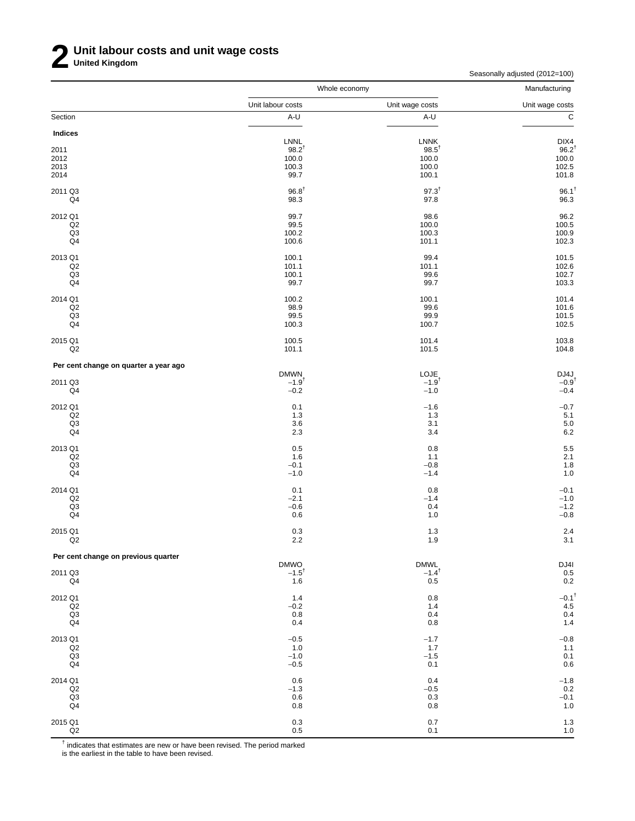Seasonally adjusted (2012=100)

|                                       | Whole economy       |                           | Manufacturing                             |
|---------------------------------------|---------------------|---------------------------|-------------------------------------------|
|                                       | Unit labour costs   | Unit wage costs           | Unit wage costs                           |
| Section                               | A-U                 | A-U                       | $\overline{c}$                            |
| Indices                               |                     |                           |                                           |
|                                       | LNNL                | <b>LNNK</b>               | DIX4                                      |
| 2011<br>2012                          | $98.2^{t}$<br>100.0 | $98.5^{\dagger}$<br>100.0 | $96.2^{\dagger}$                          |
| 2013                                  | 100.3               | 100.0                     | 100.0<br>102.5                            |
| 2014                                  | 99.7                | 100.1                     | 101.8                                     |
| 2011 Q3                               | $96.8^{\dagger}$    | $97.3^{+}$                | $96.1^{\dagger}$                          |
| Q4                                    | 98.3                | 97.8                      | 96.3                                      |
| 2012 Q1                               | 99.7                | 98.6                      | 96.2                                      |
| Q <sub>2</sub><br>Q3                  | 99.5<br>100.2       | 100.0<br>100.3            | 100.5                                     |
| Q4                                    | 100.6               | 101.1                     | 100.9<br>102.3                            |
| 2013 Q1                               | 100.1               | 99.4                      | 101.5                                     |
| Q2                                    | 101.1               | 101.1                     | 102.6                                     |
| Q <sub>3</sub>                        | 100.1               | 99.6                      | 102.7                                     |
| Q4                                    | 99.7                | 99.7                      | 103.3                                     |
| 2014 Q1                               | 100.2               | 100.1                     | 101.4                                     |
| Q2                                    | 98.9                | 99.6                      | 101.6                                     |
| Q3                                    | 99.5                | 99.9                      | 101.5                                     |
| Q4                                    | 100.3               | 100.7                     | 102.5                                     |
| 2015 Q1                               | 100.5               | 101.4                     | 103.8                                     |
| Q2                                    | 101.1               | 101.5                     | 104.8                                     |
| Per cent change on quarter a year ago | <b>DMWN</b>         | LOJE                      |                                           |
| 2011 Q3                               | $-1.9$ <sup>t</sup> | $-1.9$ <sup>t</sup>       | $DJ4J$ <sub>-0.9</sub> <sup>t</sup>       |
| Q4                                    | $-0.2$              | $-1.0$                    | $-0.4$                                    |
| 2012 Q1                               | 0.1                 | $-1.6$                    | $-0.7$                                    |
| Q2                                    | 1.3                 | 1.3                       | 5.1                                       |
| Q <sub>3</sub><br>Q4                  | 3.6<br>2.3          | 3.1<br>3.4                | 5.0<br>6.2                                |
|                                       |                     |                           |                                           |
| 2013 Q1<br>Q2                         | 0.5<br>1.6          | 0.8<br>1.1                | $\frac{5.5}{2.1}$                         |
| Q3                                    | $-0.1$              | $-0.8$                    | 1.8                                       |
| Q4                                    | $-1.0$              | $-1.4$                    | 1.0                                       |
| 2014 Q1                               | 0.1                 | 0.8                       | $-0.1$                                    |
| Q2                                    | $-2.1$              | $-1.4$                    | $-1.0$                                    |
| Q <sub>3</sub>                        | $-0.6$              | 0.4                       | $-1.2$                                    |
| Q4                                    | 0.6                 | 1.0                       | $-0.8$                                    |
| 2015 Q1<br>Q2                         | 0.3<br>2.2          | 1.3<br>1.9                | 2.4<br>3.1                                |
| Per cent change on previous quarter   |                     |                           |                                           |
|                                       | <b>DMWO</b>         | <b>DMWL</b>               | DJ41                                      |
| 2011 Q3                               | $-1.5^{\dagger}$    | $-1.4$ <sup>†</sup>       | $\begin{array}{c} 0.5 \\ 0.2 \end{array}$ |
| Q4                                    | 1.6                 | 0.5                       |                                           |
| 2012 Q1                               | 1.4                 | 0.8                       | $-0.1$ <sup>t</sup>                       |
| Q2<br>Q3                              | $-0.2$              | 1.4<br>0.4                | 4.5<br>0.4                                |
| Q4                                    | $0.8\,$<br>0.4      | 0.8                       | $1.4$                                     |
|                                       |                     |                           |                                           |
| 2013 Q1                               | $-0.5$<br>1.0       | $-1.7$<br>1.7             | $-0.8$<br>1.1                             |
| $_{\mathsf{Q3}}^{\mathsf{Q2}}$        | $-1.0$              | $-1.5$                    | 0.1                                       |
| Q4                                    | $-0.5$              | 0.1                       | $0.6\,$                                   |
| 2014 Q1                               | 0.6                 | 0.4                       | $-1.8$                                    |
| Q2                                    | $-1.3$              | $-0.5$                    | 0.2                                       |
| Q <sub>3</sub>                        | 0.6                 | 0.3                       | $-0.1$                                    |
| Q4                                    | $0.8\,$             | 0.8                       | $1.0$                                     |
| 2015 Q1                               | $0.3\,$             | $0.7\,$                   | $\frac{1.3}{1.0}$                         |
| Q2                                    | $0.5\,$             | 0.1                       |                                           |

 $^{\dagger}$  indicates that estimates are new or have been revised. The period marked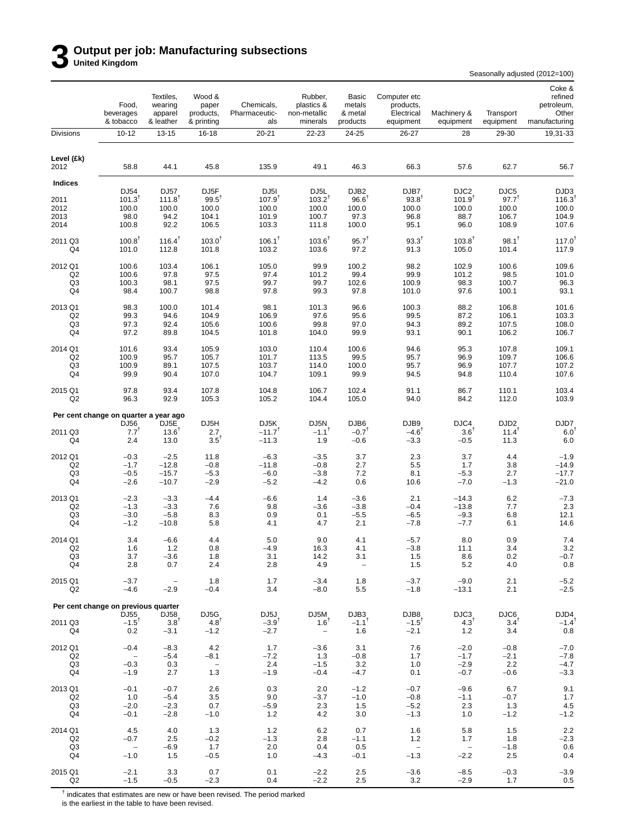# **3 Output per job: Manufacturing subsections United Kingdom**

Seasonally adjusted (2012=100)

|                           | Food,<br>beverages<br>& tobacco       | Textiles,<br>wearing<br>apparel<br>& leather | Wood &<br>paper<br>products.<br>& printing | Chemicals,<br>Pharmaceutic-<br>als | Rubber,<br>plastics &<br>non-metallic<br>minerals | Basic<br>metals<br>& metal<br>products | Computer etc<br>products,<br>Electrical<br>equipment | Machinery &<br>equipment                  | Transport<br>equipment    | Coke &<br>refined<br>petroleum,<br>Other<br>manufacturing |
|---------------------------|---------------------------------------|----------------------------------------------|--------------------------------------------|------------------------------------|---------------------------------------------------|----------------------------------------|------------------------------------------------------|-------------------------------------------|---------------------------|-----------------------------------------------------------|
| <b>Divisions</b>          | $10 - 12$                             | 13-15                                        | 16-18                                      | 20-21                              | 22-23                                             | 24-25                                  | 26-27                                                | 28                                        | 29-30                     | 19,31-33                                                  |
| Level (£k)<br>2012        | 58.8                                  | 44.1                                         | 45.8                                       | 135.9                              | 49.1                                              | 46.3                                   | 66.3                                                 | 57.6                                      | 62.7                      | 56.7                                                      |
| <b>Indices</b>            |                                       |                                              |                                            |                                    |                                                   |                                        |                                                      |                                           |                           |                                                           |
| 2011                      | DJ54<br>$101.3^T$                     | DJ57<br>$111.8$ <sup>†</sup>                 | DJ5F<br>$99.5^{\dagger}$                   | DJ <sub>5</sub> I<br>$107.9^{T}$   | DJ5L<br>$103.2^{T}$                               | DJB <sub>2</sub><br>$96.6^{\dagger}$   | DJB7<br>$93.8^{+}$                                   | DJC2<br>$101.9^{T}$                       | DJC5<br>$97.7^{T}$        | DJD3<br>116.3                                             |
| 2012                      | 100.0                                 | 100.0                                        | 100.0                                      | 100.0                              | 100.0                                             | 100.0                                  | 100.0                                                | 100.0                                     | 100.0                     | 100.0                                                     |
| 2013<br>2014              | 98.0<br>100.8                         | 94.2<br>92.2                                 | 104.1<br>106.5                             | 101.9<br>103.3                     | 100.7<br>111.8                                    | 97.3<br>100.0                          | 96.8<br>95.1                                         | 88.7<br>96.0                              | 106.7<br>108.9            | 104.9<br>107.6                                            |
|                           |                                       |                                              |                                            |                                    |                                                   |                                        |                                                      |                                           |                           |                                                           |
| 2011 Q3<br>Q4             | $100.8^{\dagger}$<br>101.0            | $116.4^{\dagger}$<br>112.8                   | $103.0^{T}$<br>101.8                       | $106.1^{\dagger}$<br>103.2         | $103.6^{\dagger}$<br>103.6                        | $95.7^{T}$<br>97.2                     | $93.3^{T}$<br>91.3                                   | $103.8^{\dagger}$<br>105.0                | $98.1^{\dagger}$<br>101.4 | $117.0^{\dagger}$<br>117.9                                |
| 2012 Q1                   | 100.6                                 | 103.4                                        | 106.1                                      | 105.0                              | 99.9                                              | 100.2                                  | 98.2                                                 | 102.9                                     | 100.6                     | 109.6                                                     |
| Q <sub>2</sub>            | 100.6                                 | 97.8                                         | 97.5                                       | 97.4                               | 101.2                                             | 99.4                                   | 99.9                                                 | 101.2                                     | 98.5                      | 101.0                                                     |
| Q3<br>Q4                  | 100.3<br>98.4                         | 98.1<br>100.7                                | 97.5<br>98.8                               | 99.7<br>97.8                       | 99.7<br>99.3                                      | 102.6<br>97.8                          | 100.9<br>101.0                                       | 98.3<br>97.6                              | 100.7<br>100.1            | 96.3<br>93.1                                              |
| 2013 Q1                   | 98.3                                  | 100.0                                        | 101.4                                      | 98.1                               | 101.3                                             | 96.6                                   | 100.3                                                | 88.2                                      | 106.8                     |                                                           |
| Q <sub>2</sub>            | 99.3                                  | 94.6                                         | 104.9                                      | 106.9                              | 97.6                                              | 95.6                                   | 99.5                                                 | 87.2                                      | 106.1                     | 101.6<br>103.3                                            |
| Q3                        | 97.3                                  | 92.4                                         | 105.6                                      | 100.6                              | 99.8                                              | 97.0                                   | 94.3                                                 | 89.2                                      | 107.5                     | 108.0                                                     |
| Q4                        | 97.2                                  | 89.8                                         | 104.5                                      | 101.8                              | 104.0                                             | 99.9                                   | 93.1                                                 | 90.1                                      | 106.2                     | 106.7                                                     |
| 2014 Q1                   | 101.6                                 | 93.4                                         | 105.9                                      | 103.0                              | 110.4                                             | 100.6                                  | 94.6                                                 | 95.3                                      | 107.8                     | 109.1                                                     |
| Q <sub>2</sub><br>Q3      | 100.9<br>100.9                        | 95.7<br>89.1                                 | 105.7<br>107.5                             | 101.7<br>103.7                     | 113.5<br>114.0                                    | 99.5<br>100.0                          | 95.7<br>95.7                                         | 96.9<br>96.9                              | 109.7<br>107.7            | 106.6<br>107.2                                            |
| Q4                        | 99.9                                  | 90.4                                         | 107.0                                      | 104.7                              | 109.1                                             | 99.9                                   | 94.5                                                 | 94.8                                      | 110.4                     | 107.6                                                     |
| 2015 Q1<br>Q <sub>2</sub> | 97.8<br>96.3                          | 93.4<br>92.9                                 | 107.8<br>105.3                             | 104.8<br>105.2                     | 106.7<br>104.4                                    | 102.4<br>105.0                         | 91.1<br>94.0                                         | 86.7<br>84.2                              | 110.1<br>112.0            | 103.4<br>103.9                                            |
|                           | Per cent change on quarter a year ago |                                              |                                            |                                    |                                                   |                                        |                                                      |                                           |                           |                                                           |
|                           | DJ56                                  | DJ5E                                         | DJ5H                                       | DJ <sub>5</sub> K                  | DJ5N                                              | DJB <sub>6</sub>                       | DJB9                                                 | DJC4                                      | DJD <sub>2</sub>          | DJD7                                                      |
| 2011 Q3<br>Q4             | $7.7^{T}$<br>2.4                      | $13.6^{\circ}$<br>13.0                       | 2.7<br>$3.5^{\dagger}$                     | $-11.7$ <sup>T</sup><br>$-11.3$    | $-1.1$ <sup>t</sup><br>1.9                        | $-0.7$ <sup>T</sup><br>$-0.6$          | $-4.6^{\dagger}$<br>$-3.3$                           | $3.6^T$<br>$-0.5$                         | $11.4^{T}$<br>11.3        | $6.0^{1}$<br>6.0                                          |
|                           |                                       |                                              |                                            |                                    |                                                   |                                        |                                                      |                                           |                           |                                                           |
| 2012 Q1<br>Q <sub>2</sub> | $-0.3$<br>$-1.7$                      | $-2.5$<br>$-12.8$                            | 11.8<br>$-0.8$                             | $-6.3$<br>$-11.8$                  | $-3.5$<br>$-0.8$                                  | 3.7<br>2.7                             | 2.3<br>5.5                                           | 3.7<br>1.7                                | 4.4<br>3.8                | $-1.9$<br>$-14.9$                                         |
| Q3                        | $-0.5$                                | $-15.7$                                      | $-5.3$                                     | $-6.0$                             | $-3.8$                                            | 7.2                                    | 8.1                                                  | $-5.3$                                    | 2.7                       | $-17.7$                                                   |
| Q4                        | $-2.6$                                | $-10.7$                                      | $-2.9$                                     | $-5.2$                             | $-4.2$                                            | 0.6                                    | 10.6                                                 | $-7.0$                                    | $-1.3$                    | $-21.0$                                                   |
| 2013 Q1                   | $-2.3$                                | $-3.3$                                       | $-4.4$                                     | $-6.6$                             | 1.4                                               | $-3.6$                                 | 2.1                                                  | $-14.3$                                   | 6.2                       | $-7.3$                                                    |
| Q <sub>2</sub>            | $-1.3$                                | $-3.3$                                       | 7.6                                        | 9.8                                | $-3.6$                                            | $-3.8$                                 | $-0.4$                                               | $-13.8$                                   | 7.7                       | 2.3                                                       |
| Q3<br>Q4                  | $-3.0$<br>$-1.2$                      | $-5.8$<br>$-10.8$                            | 8.3<br>5.8                                 | 0.9<br>4.1                         | 0.1<br>4.7                                        | $-5.5$<br>2.1                          | $-6.5$<br>$-7.8$                                     | $-9.3$<br>$-7.7$                          | 6.8<br>6.1                | 12.1<br>14.6                                              |
|                           |                                       |                                              |                                            |                                    |                                                   |                                        |                                                      |                                           |                           |                                                           |
| 2014 Q1<br>Q2             | 3.4<br>1.6                            | $-6.6$<br>1.2                                | 4.4<br>0.8                                 | 5.0<br>-4.9                        | 9.0<br>16.3                                       | 4.1<br>4.1                             | $-5.7$<br>-3.8                                       | 8.0<br>11.1                               | 0.9<br>3.4                | 7.4<br>3.2                                                |
| Q3                        | 3.7                                   | $-3.6$                                       | 1.8                                        | 3.1                                | 14.2                                              | 3.1                                    | $1.5$                                                | 8.6                                       | 0.2                       | $-0.7$                                                    |
| Q4                        | 2.8                                   | 0.7                                          | 2.4                                        | 2.8                                | 4.9                                               | $\overline{\phantom{a}}$               | 1.5                                                  | 5.2                                       | 4.0                       | 0.8                                                       |
| 2015 Q1                   | $-3.7$                                | $\hspace{0.1mm}-\hspace{0.1mm}$              | 1.8                                        | 1.7                                | $-3.4$                                            | 1.8                                    | $-3.7$                                               | $-9.0$                                    | 2.1                       | $-5.2$                                                    |
| Q2                        | $-4.6$                                | $-2.9$                                       | $-0.4$                                     | 3.4                                | $-8.0$                                            | 5.5                                    | $-1.8$                                               | $-13.1$                                   | 2.1                       | $-2.5$                                                    |
|                           | Per cent change on previous quarter   |                                              |                                            |                                    |                                                   |                                        |                                                      |                                           |                           |                                                           |
| 2011 Q3                   | DJ55<br>$-1.5$ <sup>T</sup>           | DJ58<br>$3.8^{\dagger}$                      | DJ5G<br>$4.8^{\dagger}$                    | DJ5J<br>$-3.9$ <sup>t</sup>        | DJ5M<br>$1.6^T$                                   | DJB3<br>$-1.1$ <sup>T</sup>            | DJB8<br>$-1.5$ <sup>T</sup>                          | DJC3<br>$4.3^{\dagger}$                   | DJC6<br>$3.4^{\dagger}$   | DJD4<br>$-1.4$ <sup>†</sup>                               |
| Q4                        | 0.2                                   | $-3.1$                                       | $-1.2$                                     | $-2.7$                             | $\overline{\phantom{a}}$                          | 1.6                                    | $-2.1$                                               | $1.2$                                     | 3.4                       | 0.8                                                       |
| 2012 Q1                   | $-0.4$                                | $-8.3$                                       | 4.2                                        | 1.7                                | $-3.6$                                            | 3.1                                    | 7.6                                                  | $-2.0$                                    | $-0.8$                    | $-7.0$                                                    |
| Q <sub>2</sub>            | $\overline{\phantom{a}}$              | $-5.4$                                       | $-8.1$                                     | $-7.2$                             | 1.3                                               | $-0.8$                                 | 1.7                                                  | $-1.7$                                    | $-2.1$                    | $-7.8$                                                    |
| Q3<br>Q4                  | $-0.3$<br>$-1.9$                      | 0.3<br>2.7                                   | $\hspace{0.1mm}-\hspace{0.1mm}$<br>1.3     | 2.4<br>$-1.9$                      | $-1.5$<br>$-0.4$                                  | 3.2<br>$-4.7$                          | 1.0<br>0.1                                           | $-2.9$<br>$-0.7$                          | 2.2<br>$-0.6$             | $-4.7$<br>$-3.3$                                          |
|                           |                                       |                                              |                                            |                                    |                                                   |                                        |                                                      |                                           |                           |                                                           |
| 2013 Q1                   | $-0.1$                                | $-0.7$                                       | 2.6                                        | 0.3                                | 2.0                                               | $-1.2$                                 | $-0.7$                                               | $-9.6$                                    | 6.7                       | 9.1                                                       |
| Q <sub>2</sub><br>Q3      | 1.0<br>$-2.0$                         | $-5.4$<br>$-2.3$                             | 3.5<br>0.7                                 | 9.0<br>$-5.9$                      | $-3.7$<br>2.3                                     | $-1.0$<br>1.5                          | $-0.8$<br>$-5.2$                                     | $-1.1$<br>2.3                             | $-0.7$<br>1.3             | 1.7<br>$4.5\,$                                            |
| Q4                        | $-0.1$                                | $-2.8$                                       | $-1.0$                                     | 1.2                                | 4.2                                               | 3.0                                    | $-1.3$                                               | 1.0                                       | $-1.2$                    | $-1.2$                                                    |
| 2014 Q1                   | 4.5                                   | 4.0                                          | 1.3                                        | 1.2                                | 6.2                                               | 0.7                                    | 1.6                                                  | 5.8                                       | 1.5                       | $2.2\,$                                                   |
| Q <sub>2</sub>            | $-0.7$                                | 2.5                                          | $-0.2$                                     | $-1.3$                             | 2.8                                               | $-1.1$                                 | $1.2$                                                | 1.7                                       | 1.8                       | $-2.3$                                                    |
| Q3<br>Q4                  | $\overline{\phantom{a}}$<br>$-1.0$    | $-6.9$<br>1.5                                | 1.7<br>$-0.5$                              | 2.0<br>1.0                         | 0.4<br>$-4.3$                                     | 0.5<br>$-0.1$                          | $\overline{\phantom{a}}$<br>$-1.3$                   | $\hspace{0.1mm}-\hspace{0.1mm}$<br>$-2.2$ | $-1.8$<br>2.5             | 0.6<br>0.4                                                |
|                           |                                       |                                              |                                            |                                    |                                                   |                                        |                                                      |                                           |                           |                                                           |
| 2015 Q1<br>Q <sub>2</sub> | $-2.1$<br>$-1.5$                      | 3.3<br>$-0.5$                                | 0.7<br>$-2.3$                              | 0.1<br>0.4                         | $-2.2$<br>$-2.2$                                  | 2.5<br>2.5                             | $-3.6$<br>3.2                                        | $-8.5$<br>$-2.9$                          | $-0.3$<br>1.7             | $-3.9$<br>0.5                                             |

 $^{\dagger}$  indicates that estimates are new or have been revised. The period marked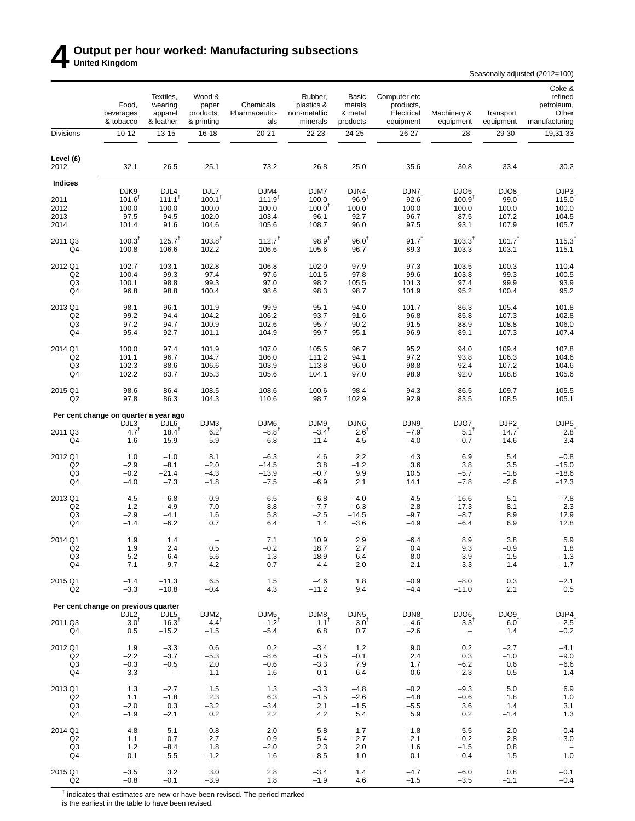# **4 Output per hour worked: Manufacturing subsections United Kingdom**

Seasonally adjusted (2012=100)

|                           | Food,<br>beverages<br>& tobacco       | Textiles,<br>wearing<br>apparel<br>& leather | Wood &<br>paper<br>products,<br>& printing | Chemicals,<br>Pharmaceutic-<br>als | Rubber,<br>plastics &<br>non-metallic<br>minerals | Basic<br>metals<br>& metal<br>products | Computer etc<br>products,<br>Electrical<br>equipment | Machinery &<br>equipment            | Transport<br>equipment      | Coke &<br>refined<br>petroleum,<br>Other<br>manufacturing |
|---------------------------|---------------------------------------|----------------------------------------------|--------------------------------------------|------------------------------------|---------------------------------------------------|----------------------------------------|------------------------------------------------------|-------------------------------------|-----------------------------|-----------------------------------------------------------|
| <b>Divisions</b>          | $10 - 12$                             | 13-15                                        | 16-18                                      | 20-21                              | 22-23                                             | 24-25                                  | 26-27                                                | 28                                  | 29-30                       | 19,31-33                                                  |
| Level (£)<br>2012         | 32.1                                  | 26.5                                         | 25.1                                       | 73.2                               | 26.8                                              | 25.0                                   | 35.6                                                 | 30.8                                | 33.4                        | 30.2                                                      |
| <b>Indices</b>            |                                       |                                              |                                            |                                    |                                                   |                                        |                                                      |                                     |                             |                                                           |
| 2011                      | DJK9<br>$101.6^T$                     | DJL4<br>$111.1^T$                            | DJL7<br>$100.1^{\dagger}$                  | DJM4<br>$111.9^{T}$                | DJM7<br>100.0                                     | DJN4<br>$96.9^{†}$                     | DJN7<br>$92.6^{\dagger}$                             | DJO <sub>5</sub><br>$100.9^{T}$     | DJO8<br>$99.0^{\dagger}$    | DJP3<br>115.0                                             |
| 2012                      | 100.0                                 | 100.0                                        | 100.0                                      | 100.0                              | $100.0^T$                                         | 100.0                                  | 100.0                                                | 100.0                               | 100.0                       | 100.0                                                     |
| 2013                      | 97.5                                  | 94.5                                         | 102.0                                      | 103.4                              | 96.1                                              | 92.7                                   | 96.7                                                 | 87.5                                | 107.2                       | 104.5                                                     |
| 2014                      | 101.4                                 | 91.6                                         | 104.6                                      | 105.6                              | 108.7                                             | 96.0                                   | 97.5                                                 | 93.1                                | 107.9                       | 105.7                                                     |
| 2011 Q3<br>Q4             | 100.3 <sup>†</sup><br>100.8           | $125.7^{\dagger}$<br>106.6                   | $103.8^{\dagger}$<br>102.2                 | $112.7^{\dagger}$<br>106.6         | $98.9^{T}$<br>105.6                               | $96.0^{\dagger}$<br>96.7               | $91.7^{T}$<br>89.3                                   | $103.3^{T}$<br>103.3                | 101.7 <sup>†</sup><br>103.1 | $115.3^{\dagger}$<br>115.1                                |
| 2012 Q1                   | 102.7                                 | 103.1                                        | 102.8                                      | 106.8                              | 102.0                                             | 97.9                                   | 97.3                                                 | 103.5                               | 100.3                       | 110.4                                                     |
| Q2                        | 100.4                                 | 99.3                                         | 97.4                                       | 97.6                               | 101.5                                             | 97.8                                   | 99.6                                                 | 103.8                               | 99.3                        | 100.5                                                     |
| Q <sub>3</sub><br>Q4      | 100.1<br>96.8                         | 98.8<br>98.8                                 | 99.3<br>100.4                              | 97.0<br>98.6                       | 98.2<br>98.3                                      | 105.5<br>98.7                          | 101.3<br>101.9                                       | 97.4<br>95.2                        | 99.9<br>100.4               | 93.9<br>95.2                                              |
|                           |                                       |                                              |                                            |                                    |                                                   |                                        |                                                      |                                     |                             |                                                           |
| 2013 Q1                   | 98.1                                  | 96.1                                         | 101.9                                      | 99.9                               | 95.1                                              | 94.0                                   | 101.7                                                | 86.3                                | 105.4                       | 101.8                                                     |
| Q2                        | 99.2                                  | 94.4                                         | 104.2                                      | 106.2                              | 93.7                                              | 91.6                                   | 96.8                                                 | 85.8                                | 107.3                       | 102.8                                                     |
| Q3<br>Q4                  | 97.2<br>95.4                          | 94.7<br>92.7                                 | 100.9<br>101.1                             | 102.6<br>104.9                     | 95.7<br>99.7                                      | 90.2<br>95.1                           | 91.5<br>96.9                                         | 88.9<br>89.1                        | 108.8<br>107.3              | 106.0<br>107.4                                            |
|                           |                                       |                                              |                                            |                                    |                                                   |                                        |                                                      |                                     |                             |                                                           |
| 2014 Q1<br>Q <sub>2</sub> | 100.0<br>101.1                        | 97.4<br>96.7                                 | 101.9<br>104.7                             | 107.0<br>106.0                     | 105.5<br>111.2                                    | 96.7<br>94.1                           | 95.2<br>97.2                                         | 94.0<br>93.8                        | 109.4<br>106.3              | 107.8<br>104.6                                            |
| Q3                        | 102.3                                 | 88.6                                         | 106.6                                      | 103.9                              | 113.8                                             | 96.0                                   | 98.8                                                 | 92.4                                | 107.2                       | 104.6                                                     |
| Q4                        | 102.2                                 | 83.7                                         | 105.3                                      | 105.6                              | 104.1                                             | 97.0                                   | 98.9                                                 | 92.0                                | 108.8                       | 105.6                                                     |
| 2015 Q1<br>Q2             | 98.6<br>97.8                          | 86.4<br>86.3                                 | 108.5<br>104.3                             | 108.6<br>110.6                     | 100.6<br>98.7                                     | 98.4<br>102.9                          | 94.3<br>92.9                                         | 86.5<br>83.5                        | 109.7<br>108.5              | 105.5<br>105.1                                            |
|                           | Per cent change on quarter a year ago |                                              |                                            |                                    |                                                   |                                        |                                                      |                                     |                             |                                                           |
|                           | DJL3                                  | DJL6                                         | DJM3                                       | DJM6                               | DJM9                                              | DJN6                                   | DJN9                                                 | DJO7                                | DJP <sub>2</sub>            | DJP <sub>5</sub>                                          |
| 2011 Q3<br>Q4             | 4.7 <sup>T</sup><br>1.6               | $18.4^{\mathrm{T}}$<br>15.9                  | 6.2 <sup>T</sup><br>5.9                    | $-8.8$ <sup>T</sup><br>-6.8        | $-3.4$ <sup>T</sup><br>11.4                       | $2.6^{\text{T}}$<br>4.5                | $-7.9$ <sup>T</sup><br>$-4.0$                        | $5.1^T$<br>$-0.7$                   | $14.7^{T}$<br>14.6          | $2.8^{\circ}$<br>3.4                                      |
|                           |                                       |                                              |                                            |                                    |                                                   |                                        |                                                      |                                     |                             |                                                           |
| 2012 Q1<br>Q2             | 1.0<br>$-2.9$                         | $-1.0$<br>$-8.1$                             | 8.1<br>$-2.0$                              | $-6.3$<br>$-14.5$                  | 4.6<br>3.8                                        | 2.2<br>$-1.2$                          | 4.3<br>3.6                                           | 6.9<br>3.8                          | 5.4<br>3.5                  | $-0.8$<br>$-15.0$                                         |
| Q3                        | $-0.2$                                | $-21.4$                                      | $-4.3$                                     | $-13.9$                            | $-0.7$                                            | 9.9                                    | 10.5                                                 | $-5.7$                              | $-1.8$                      | $-18.6$                                                   |
| Q4                        | $-4.0$                                | $-7.3$                                       | $-1.8$                                     | $-7.5$                             | $-6.9$                                            | 2.1                                    | 14.1                                                 | $-7.8$                              | $-2.6$                      | $-17.3$                                                   |
| 2013 Q1                   | $-4.5$                                | $-6.8$                                       | $-0.9$                                     | $-6.5$                             | $-6.8$                                            | $-4.0$                                 | 4.5                                                  | $-16.6$                             | 5.1                         | $-7.8$                                                    |
| Q2                        | $-1.2$                                | $-4.9$                                       | 7.0                                        | 8.8                                | -7.7                                              | $-6.3$                                 | $-2.8$                                               | $-17.3$                             | 8.1                         | 2.3                                                       |
| Q <sub>3</sub>            | $-2.9$                                | $-4.1$                                       | 1.6                                        | 5.8                                | $-2.5$                                            | $-14.5$                                | $-9.7$                                               | $-8.7$                              | 8.9                         | 12.9                                                      |
| Q4                        | $-1.4$                                | $-6.2$                                       | 0.7                                        | 6.4                                | 1.4                                               | $-3.6$                                 | $-4.9$                                               | $-6.4$                              | 6.9                         | 12.8                                                      |
| 2014 Q1                   | 1.9                                   | 1.4                                          |                                            | 7.1                                | 10.9                                              | 2.9                                    | $-6.4$                                               | 8.9                                 | 3.8                         | 5.9                                                       |
| Q2<br>Q3                  | 1.9<br>5.2                            | 2.4<br>$-6.4$                                | 0.5<br>5.6                                 | $-0.2$<br>1.3                      | 18.7<br>18.9                                      | 2.7<br>6.4                             | 0.4<br>8.0                                           | 9.3<br>3.9                          | $-0.9$<br>$-1.5$            | 1.8<br>$-1.3$                                             |
| Q4                        | 7.1                                   | $-9.7$                                       | 4.2                                        | 0.7                                | 4.4                                               | 2.0                                    | 2.1                                                  | 3.3                                 | 1.4                         | $-1.7$                                                    |
| 2015 Q1                   | $-1.4$                                | $-11.3$                                      | 6.5                                        | 1.5                                | $-4.6$                                            | 1.8                                    | $-0.9$                                               | $-8.0$                              | 0.3                         | $-2.1$                                                    |
| Q2                        | $-3.3$                                | $-10.8$                                      | $-0.4$                                     | 4.3                                | $-11.2$                                           | 9.4                                    | $-4.4$                                               | $-11.0$                             | 2.1                         | 0.5                                                       |
|                           | Per cent change on previous quarter   |                                              |                                            |                                    |                                                   |                                        |                                                      |                                     |                             |                                                           |
|                           | DJL <sub>2</sub>                      | DJL5                                         | DJM <sub>2</sub>                           | DJM <sub>5</sub>                   | DJM8                                              | DJN <sub>5</sub>                       | DJN8                                                 | DJO6                                | DJO9                        | DJP4                                                      |
| 2011 Q3<br>Q4             | $-3.0$ <sup>T</sup><br>0.5            | $16.3^{\dagger}$<br>$-15.2$                  | $4.4^{T}$<br>$-1.5$                        | $-1.2$ <sup>T</sup><br>$-5.4$      | $1.1^T$<br>6.8                                    | $-3.0$ <sup>t</sup><br>0.7             | $-4.6$ <sup>T</sup><br>$-2.6$                        | $3.3^T$<br>$\overline{\phantom{a}}$ | 6.0 <sup>†</sup><br>1.4     | $-2.5$ <sup>†</sup><br>$-0.2$                             |
|                           |                                       |                                              |                                            |                                    |                                                   |                                        |                                                      |                                     |                             |                                                           |
| 2012 Q1<br>Q2             | 1.9<br>$-2.2$                         | $-3.3$<br>$-3.7$                             | 0.6<br>$-5.3$                              | 0.2<br>$-8.6$                      | $-3.4$<br>$-0.5$                                  | 1.2<br>$-0.1$                          | 9.0<br>2.4                                           | 0.2<br>0.3                          | $-2.7$<br>$-1.0$            | $-4.1$<br>$-9.0$                                          |
| Q3                        | $-0.3$                                | $-0.5$                                       | 2.0                                        | $-0.6$                             | $-3.3$                                            | 7.9                                    | 1.7                                                  | $-6.2$                              | 0.6                         | $-6.6$                                                    |
| Q4                        | $-3.3$                                | $\hspace{0.1mm}-\hspace{0.1mm}$              | 1.1                                        | 1.6                                | 0.1                                               | $-6.4$                                 | 0.6                                                  | $-2.3$                              | 0.5                         | 1.4                                                       |
| 2013 Q1                   | 1.3                                   | $-2.7$                                       | 1.5                                        | 1.3                                | $-3.3$                                            | $-4.8$                                 | $-0.2$                                               | $-9.3$                              | 5.0                         | 6.9                                                       |
| Q2                        | 1.1                                   | $-1.8$                                       | 2.3                                        | 6.3                                | $-1.5$                                            | $-2.6$                                 | $-4.8$                                               | $-0.6$                              | 1.8                         | 1.0                                                       |
| Q3<br>Q4                  | $-2.0$<br>$-1.9$                      | 0.3                                          | $-3.2$<br>0.2                              | $-3.4$<br>2.2                      | 2.1<br>4.2                                        | $-1.5$<br>5.4                          | $-5.5$<br>5.9                                        | 3.6<br>0.2                          | 1.4                         | 3.1<br>1.3                                                |
|                           |                                       | $-2.1$                                       |                                            |                                    |                                                   |                                        |                                                      |                                     | $-1.4$                      |                                                           |
| 2014 Q1                   | 4.8                                   | 5.1                                          | 0.8                                        | 2.0                                | 5.8                                               | 1.7                                    | $-1.8$                                               | 5.5                                 | 2.0                         | 0.4                                                       |
| Q2<br>Q3                  | 1.1<br>1.2                            | $-0.7$<br>$-8.4$                             | 2.7<br>1.8                                 | $-0.9$<br>$-2.0$                   | 5.4<br>2.3                                        | $-2.7$<br>2.0                          | 2.1<br>1.6                                           | $-0.2$<br>$-1.5$                    | $-2.8$<br>0.8               | $-3.0$<br>$\hspace{0.1mm}-\hspace{0.1mm}$                 |
| Q4                        | $-0.1$                                | $-5.5$                                       | $-1.2$                                     | 1.6                                | $-8.5$                                            | 1.0                                    | 0.1                                                  | $-0.4$                              | 1.5                         | $1.0$                                                     |
| 2015 Q1                   | $-3.5$                                | 3.2                                          | 3.0                                        | 2.8                                | $-3.4$                                            | 1.4                                    | $-4.7$                                               | $-6.0$                              | 0.8                         | $-0.1$                                                    |
| Q2                        | $-0.8$                                | $-0.1$                                       | $-3.9$                                     | 1.8                                | $-1.9$                                            | 4.6                                    | $-1.5$                                               | $-3.5$                              | $-1.1$                      | $-0.4$                                                    |

 $^{\dagger}$  indicates that estimates are new or have been revised. The period marked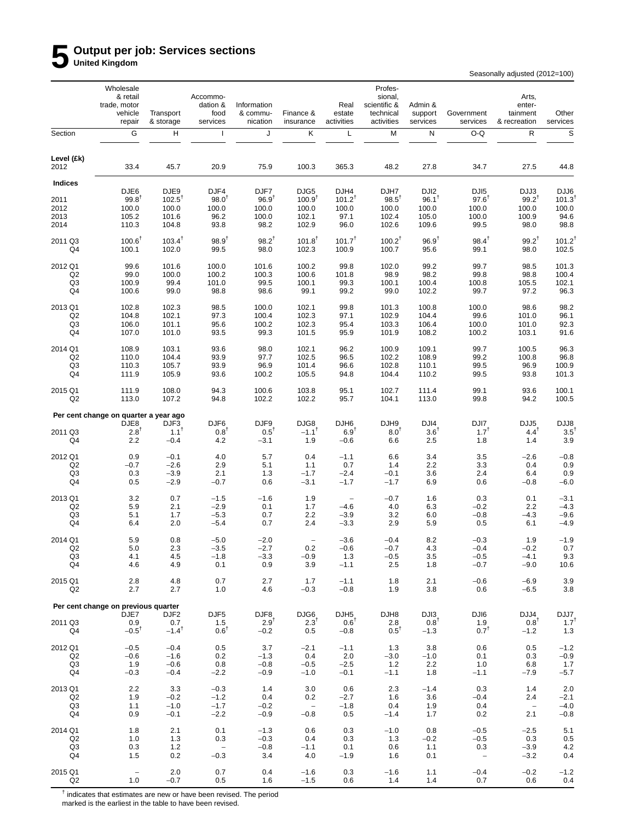# **5 Output per job: Services sections United Kingdom**

Seasonally adjusted (2012=100)

|                           | Wholesale<br>& retail<br>trade, motor<br>vehicle<br>repair | Transport<br>& storage    | Accommo-<br>dation &<br>food<br>services | Information<br>& commu-<br>nication | Finance &<br>insurance             | Real<br>estate<br>activities | Profes-<br>sional,<br>scientific &<br>technical<br>activities | Admin &<br>support<br>services | Government<br>services       | Arts,<br>enter-<br>tainment<br>& recreation | Other<br>services        |
|---------------------------|------------------------------------------------------------|---------------------------|------------------------------------------|-------------------------------------|------------------------------------|------------------------------|---------------------------------------------------------------|--------------------------------|------------------------------|---------------------------------------------|--------------------------|
| Section                   | G                                                          | H                         | $\mathsf{I}$                             | J                                   | Κ                                  | L                            | M                                                             | N                              | O-Q                          | ${\sf R}$                                   | $\mathbb S$              |
| Level (£k)<br>2012        | 33.4                                                       | 45.7                      | 20.9                                     | 75.9                                | 100.3                              | 365.3                        | 48.2                                                          | 27.8                           | 34.7                         | 27.5                                        | 44.8                     |
| Indices                   |                                                            |                           |                                          |                                     |                                    |                              |                                                               |                                |                              |                                             |                          |
| 2011                      | DJE6<br>$99.8^{\dagger}$                                   | DJE9<br>$102.5^{\dagger}$ | DJF4<br>$98.0^{T}$                       | DJF7<br>96.9 <sup>T</sup>           | DJG5<br>100.9 <sup>1</sup>         | DJH4<br>$101.2^{T}$          | DJH7<br>$98.5^T$                                              | DJ <sub>12</sub><br>$96.1^T$   | DJI <sub>5</sub><br>$97.6^T$ | DJJ3<br>$99.2^{T}$                          | DJJ6<br>101.3            |
| 2012                      | 100.0                                                      | 100.0                     | 100.0                                    | 100.0                               | 100.0                              | 100.0                        | 100.0                                                         | 100.0                          | 100.0                        | 100.0                                       | 100.0                    |
| 2013                      | 105.2                                                      | 101.6                     | 96.2                                     | 100.0                               | 102.1                              | 97.1                         | 102.4                                                         | 105.0                          | 100.0                        | 100.9                                       | 94.6                     |
| 2014                      | 110.3                                                      | 104.8                     | 93.8                                     | 98.2                                | 102.9                              | 96.0                         | 102.6                                                         | 109.6                          | 99.5                         | 98.0                                        | 98.8                     |
| 2011 Q3                   | $100.6^{\dagger}$                                          | $103.4^{\dagger}$         | $98.9^{+}$                               | $98.2^{T}$                          | $101.8^{\dagger}$                  | 101.7 <sup>†</sup>           | $100.2^{T}$                                                   | $96.9^{T}$                     | $98.4^{+}$                   | $99.2^{+}$                                  | $101.2^{t}$              |
| Q4                        | 100.1                                                      | 102.0                     | 99.5                                     | 98.0                                | 102.3                              | 100.9                        | 100.7                                                         | 95.6                           | 99.1                         | 98.0                                        | 102.5                    |
| 2012 Q1                   | 99.6                                                       | 101.6                     | 100.0                                    | 101.6                               | 100.2                              | 99.8                         | 102.0                                                         | 99.2                           | 99.7                         | 98.5                                        | 101.3                    |
| Q <sub>2</sub>            | 99.0                                                       | 100.0                     | 100.2                                    | 100.3                               | 100.6                              | 101.8                        | 98.9                                                          | 98.2                           | 99.8                         | 98.8                                        | 100.4                    |
| Q <sub>3</sub><br>Q4      | 100.9<br>100.6                                             | 99.4<br>99.0              | 101.0<br>98.8                            | 99.5<br>98.6                        | 100.1<br>99.1                      | 99.3<br>99.2                 | 100.1<br>99.0                                                 | 100.4<br>102.2                 | 100.8<br>99.7                | 105.5<br>97.2                               | 102.1<br>96.3            |
|                           |                                                            |                           |                                          |                                     |                                    |                              |                                                               |                                |                              |                                             |                          |
| 2013 Q1                   | 102.8                                                      | 102.3                     | 98.5                                     | 100.0                               | 102.1                              | 99.8                         | 101.3                                                         | 100.8                          | 100.0                        | 98.6                                        | 98.2                     |
| Q2<br>Q3                  | 104.8<br>106.0                                             | 102.1<br>101.1            | 97.3<br>95.6                             | 100.4<br>100.2                      | 102.3<br>102.3                     | 97.1<br>95.4                 | 102.9<br>103.3                                                | 104.4<br>106.4                 | 99.6<br>100.0                | 101.0<br>101.0                              | 96.1<br>92.3             |
| Q4                        | 107.0                                                      | 101.0                     | 93.5                                     | 99.3                                | 101.5                              | 95.9                         | 101.9                                                         | 108.2                          | 100.2                        | 103.1                                       | 91.6                     |
| 2014 Q1                   | 108.9                                                      | 103.1                     | 93.6                                     | 98.0                                | 102.1                              | 96.2                         | 100.9                                                         | 109.1                          | 99.7                         | 100.5                                       | 96.3                     |
| Q <sub>2</sub>            | 110.0                                                      | 104.4                     | 93.9                                     | 97.7                                | 102.5                              | 96.5                         | 102.2                                                         | 108.9                          | 99.2                         | 100.8                                       | 96.8                     |
| Q <sub>3</sub>            | 110.3                                                      | 105.7                     | 93.9                                     | 96.9                                | 101.4                              | 96.6                         | 102.8                                                         | 110.1                          | 99.5                         | 96.9                                        | 100.9                    |
| Q4                        | 111.9                                                      | 105.9                     | 93.6                                     | 100.2                               | 105.5                              | 94.8                         | 104.4                                                         | 110.2                          | 99.5                         | 93.8                                        | 101.3                    |
| 2015 Q1<br>Q <sub>2</sub> | 111.9<br>113.0                                             | 108.0<br>107.2            | 94.3<br>94.8                             | 100.6<br>102.2                      | 103.8<br>102.2                     | 95.1<br>95.7                 | 102.7<br>104.1                                                | 111.4<br>113.0                 | 99.1<br>99.8                 | 93.6<br>94.2                                | 100.1<br>100.5           |
|                           | Per cent change on quarter a year ago                      |                           |                                          |                                     |                                    |                              |                                                               |                                |                              |                                             |                          |
| 2011 Q3                   | DJE8<br>$2.8^{T}$                                          | DJF3<br>$1.1^{\dagger}$   | DJF <sub>6</sub><br>$0.8^{\dagger}$      | DJF9<br>$0.5^{\dagger}$             | DJG8<br>$-1.1$ <sup>t</sup>        | DJH6<br>6.9 <sup>T</sup>     | DJH9<br>8.0 <sup>†</sup>                                      | DJI4<br>$3.6^{\dagger}$        | DJI7<br>$1.7^{1}$            | DJJ5<br>$4.4^{\text{T}}$                    | DJJ8<br>3.5              |
| Q4                        | 2.2                                                        | $-0.4$                    | 4.2                                      | $-3.1$                              | 1.9                                | $-0.6$                       | 6.6                                                           | 2.5                            | 1.8                          | 1.4                                         | 3.9                      |
|                           | 0.9                                                        | $-0.1$                    |                                          |                                     | 0.4                                |                              |                                                               |                                |                              |                                             |                          |
| 2012 Q1<br>Q2             | $-0.7$                                                     | $-2.6$                    | 4.0<br>2.9                               | 5.7<br>5.1                          | 1.1                                | $-1.1$<br>0.7                | 6.6<br>1.4                                                    | 3.4<br>2.2                     | 3.5<br>3.3                   | $-2.6$<br>0.4                               | $-0.8$<br>0.9            |
| Q3                        | 0.3                                                        | $-3.9$                    | 2.1                                      | 1.3                                 | $-1.7$                             | $-2.4$                       | $-0.1$                                                        | 3.6                            | 2.4                          | 6.4                                         | 0.9                      |
| Q4                        | 0.5                                                        | $-2.9$                    | $-0.7$                                   | 0.6                                 | $-3.1$                             | $-1.7$                       | $-1.7$                                                        | 6.9                            | 0.6                          | $-0.8$                                      | $-6.0$                   |
| 2013 Q1                   | 3.2                                                        | 0.7                       | $-1.5$                                   | $-1.6$                              | 1.9                                | $\overline{\phantom{a}}$     | $-0.7$                                                        | 1.6                            | 0.3                          | 0.1                                         | $-3.1$                   |
| Q2                        | 5.9                                                        | 2.1                       | $-2.9$                                   | 0.1                                 | 1.7                                | $-4.6$                       | 4.0                                                           | 6.3                            | $-0.2$                       | 2.2                                         | $-4.3$                   |
| Q <sub>3</sub><br>Q4      | 5.1<br>6.4                                                 | 1.7<br>2.0                | $-5.3$<br>$-5.4$                         | 0.7<br>0.7                          | 2.2<br>2.4                         | $-3.9$<br>$-3.3$             | 3.2<br>2.9                                                    | 6.0<br>5.9                     | $-0.8$<br>0.5                | $-4.3$<br>6.1                               | $-9.6$<br>$-4.9$         |
|                           |                                                            |                           |                                          |                                     |                                    |                              |                                                               |                                |                              |                                             |                          |
| 2014 Q1<br>Q <sub>2</sub> | 5.9<br>5.0                                                 | 0.8<br>2.3                | $-5.0$<br>$-3.5$                         | $-2.0$<br>$-2.7$                    | $\overline{\phantom{a}}$<br>0.2    | $-3.6$<br>$-0.6$             | $-0.4$<br>$-0.7$                                              | 8.2<br>4.3                     | $-0.3$<br>$-0.4$             | 1.9<br>$-0.2$                               | $-1.9$<br>0.7            |
| Q3                        | 4.1                                                        | 4.5                       | $-1.8$                                   | $-3.3$                              | $-0.9$                             | 1.3                          | $-0.5$                                                        | 3.5                            | $-0.5$                       | $-4.1$                                      | 9.3                      |
| Q4                        | 4.6                                                        | 4.9                       | 0.1                                      | 0.9                                 | 3.9                                | $-1.1$                       | 2.5                                                           | 1.8                            | $-0.7$                       | $-9.0$                                      | 10.6                     |
| 2015 Q1                   | 2.8                                                        | 4.8                       | 0.7                                      | 2.7                                 | 1.7                                | $-1.1$                       | 1.8                                                           | 2.1                            | $-0.6$                       | $-6.9$                                      | 3.9                      |
| Q2                        | 2.7                                                        | 2.7                       | 1.0                                      | 4.6                                 | $-0.3$                             | $-0.8$                       | 1.9                                                           | 3.8                            | 0.6                          | $-6.5$                                      | 3.8                      |
|                           | Per cent change on previous quarter                        |                           |                                          |                                     |                                    |                              |                                                               |                                |                              |                                             |                          |
|                           | DJE7                                                       | DJF <sub>2</sub>          | DJF <sub>5</sub>                         | DJF8                                | DJG6                               | DJH <sub>5</sub>             | DJH8                                                          | DJI3                           | DJI6                         | DJJ4                                        | DJJ7                     |
| 2011 Q3<br>Q4             | 0.9<br>$-0.5^{\dagger}$                                    | 0.7<br>$-1.4^{\dagger}$   | 1.5<br>$0.6^T$                           | $2.9^{\dagger}$<br>$-0.2$           | $2.3^{\mathrm{T}}$<br>0.5          | $0.6^T$<br>$-0.8$            | 2.8<br>$0.5^T$                                                | $0.8^T$<br>$-1.3$              | 1.9<br>$0.7^{\dagger}$       | $0.8^T$<br>$-1.2$                           | $1.7^{\dagger}$<br>$1.3$ |
|                           |                                                            |                           |                                          |                                     |                                    |                              |                                                               |                                |                              |                                             |                          |
| 2012 Q1<br>Q2             | $-0.5$<br>$-0.6$                                           | $-0.4$<br>$-1.6$          | 0.5<br>0.2                               | 3.7<br>$-1.3$                       | $-2.1$<br>0.4                      | $-1.1$<br>2.0                | 1.3<br>$-3.0$                                                 | 3.8<br>$-1.0$                  | 0.6<br>0.1                   | 0.5<br>0.3                                  | $-1.2$<br>$-0.9$         |
| Q3                        | 1.9                                                        | $-0.6$                    | 0.8                                      | $-0.8$                              | $-0.5$                             | $-2.5$                       | 1.2                                                           | 2.2                            | 1.0                          | 6.8                                         | 1.7                      |
| Q4                        | $-0.3$                                                     | $-0.4$                    | $-2.2$                                   | $-0.9$                              | $-1.0$                             | $-0.1$                       | $-1.1$                                                        | 1.8                            | $-1.1$                       | $-7.9$                                      | $-5.7$                   |
| 2013 Q1                   | 2.2                                                        | 3.3                       | $-0.3$                                   | 1.4                                 | 3.0                                | 0.6                          | 2.3                                                           | $-1.4$                         | 0.3                          | 1.4                                         | 2.0                      |
| Q2                        | 1.9                                                        | $-0.2$                    | $-1.2$                                   | 0.4                                 | 0.2                                | $-2.7$                       | 1.6                                                           | 3.6                            | $-0.4$                       | 2.4                                         | $-2.1$                   |
| Q <sub>3</sub><br>Q4      | 1.1<br>0.9                                                 | $-1.0$<br>$-0.1$          | $-1.7$<br>$-2.2$                         | $-0.2$<br>$-0.9$                    | $\overline{\phantom{a}}$<br>$-0.8$ | $-1.8$<br>0.5                | 0.4<br>$-1.4$                                                 | 1.9<br>1.7                     | 0.4<br>0.2                   | $\overline{\phantom{a}}$<br>2.1             | $-4.0$<br>$-0.8$         |
|                           |                                                            |                           |                                          |                                     |                                    |                              |                                                               |                                |                              |                                             |                          |
| 2014 Q1                   | 1.8                                                        | 2.1                       | 0.1                                      | $-1.3$                              | 0.6                                | 0.3                          | $-1.0$                                                        | 0.8                            | $-0.5$                       | $-2.5$                                      | 5.1                      |
| Q2<br>Q3                  | 1.0<br>0.3                                                 | 1.3<br>$1.2$              | 0.3<br>$\qquad \qquad -$                 | $-0.3$<br>$-0.8$                    | 0.4<br>$-1.1$                      | 0.3<br>0.1                   | 1.3<br>0.6                                                    | $-0.2$<br>1.1                  | -0.5<br>0.3                  | 0.3<br>$-3.9$                               | 0.5<br>4.2               |
| Q4                        | 1.5                                                        | 0.2                       | $-0.3$                                   | 3.4                                 | 4.0                                | $-1.9$                       | 1.6                                                           | 0.1                            | $\overline{\phantom{a}}$     | $-3.2$                                      | 0.4                      |
| 2015 Q1                   | $\hspace{0.1mm}-\hspace{0.1mm}$                            | 2.0                       | 0.7                                      | 0.4                                 | $-1.6$                             | 0.3                          | $-1.6$                                                        | 1.1                            | $-0.4$                       | $-0.2$                                      | $-1.2$                   |
| Q <sub>2</sub>            | 1.0                                                        | $-0.7$                    | 0.5                                      | 1.6                                 | $-1.5$                             | 0.6                          | 1.4                                                           | 1.4                            | 0.7                          | 0.6                                         | 0.4                      |

 $<sup>†</sup>$  indicates that estimates are new or have been revised. The period</sup>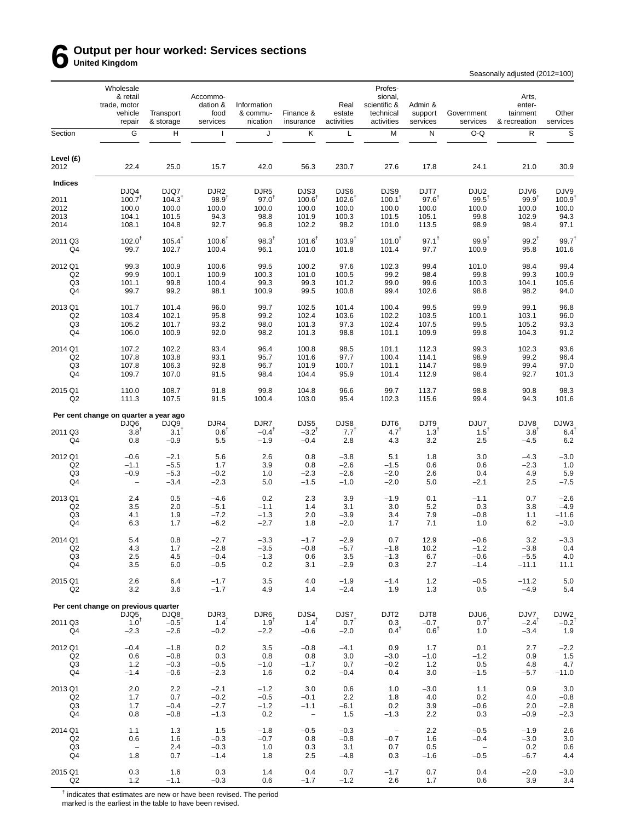# **6 Output per hour worked: Services sections United Kingdom**

Seasonally adjusted (2012=100)

|                           | Wholesale<br>& retail<br>trade, motor<br>vehicle<br>repair | Transport<br>& storage     | Accommo-<br>dation &<br>food<br>services | Information<br>& commu-<br>nication | Finance &<br>insurance             | Real<br>estate<br>activities  | Profes-<br>sional,<br>scientific &<br>technical<br>activities | Admin &<br>support<br>services | Government<br>services | Arts,<br>enter-<br>tainment<br>& recreation | Other<br>services          |
|---------------------------|------------------------------------------------------------|----------------------------|------------------------------------------|-------------------------------------|------------------------------------|-------------------------------|---------------------------------------------------------------|--------------------------------|------------------------|---------------------------------------------|----------------------------|
| Section                   | G                                                          | н                          | $\mathbf{I}$                             | J                                   | Κ                                  | L                             | М                                                             | N                              | O-Q                    | ${\sf R}$                                   | $\mathbb S$                |
| Level (£)<br>2012         | 22.4                                                       | 25.0                       | 15.7                                     | 42.0                                | 56.3                               | 230.7                         | 27.6                                                          | 17.8                           | 24.1                   | 21.0                                        | 30.9                       |
| <b>Indices</b>            |                                                            |                            |                                          |                                     |                                    |                               |                                                               |                                |                        |                                             |                            |
|                           | DJQ4                                                       | DJQ7<br>$104.3^{T}$        | DJR <sub>2</sub><br>98.9 <sup>T</sup>    | DJR <sub>5</sub><br>$97.0^{T}$      | DJS3<br>$100.6^T$                  | DJS6                          | DJS9                                                          | DJT7<br>$97.6$ <sup>T</sup>    | DJU2<br>$99.5^T$       | DJV6                                        | DJV9<br>100.9              |
| 2011<br>2012              | $100.7^T$<br>100.0                                         | 100.0                      | 100.0                                    | 100.0                               | 100.0                              | $102.6$ <sup>1</sup><br>100.0 | $100.1^T$<br>100.0                                            | 100.0                          | 100.0                  | $99.9^{\dagger}$<br>100.0                   | 100.0                      |
| 2013                      | 104.1                                                      | 101.5                      | 94.3                                     | 98.8                                | 101.9                              | 100.3                         | 101.5                                                         | 105.1                          | 99.8                   | 102.9                                       | 94.3                       |
| 2014                      | 108.1                                                      | 104.8                      | 92.7                                     | 96.8                                | 102.2                              | 98.2                          | 101.0                                                         | 113.5                          | 98.9                   | 98.4                                        | 97.1                       |
| 2011 Q3                   | $102.0^{T}$                                                | $105.4^{\dagger}$          | $100.6^{\dagger}$                        | $98.3^{T}$                          | $101.6^{\dagger}$                  | $103.9^{T}$                   | $101.0^{T}$                                                   | $97.1^{\dagger}$               | $99.9^{1}$             | $99.2^{T}$                                  | $99.7^{\dagger}$           |
| Q4                        | 99.7                                                       | 102.7                      | 100.4                                    | 96.1                                | 101.0                              | 101.8                         | 101.4                                                         | 97.7                           | 100.9                  | 95.8                                        | 101.6                      |
| 2012 Q1                   | 99.3                                                       | 100.9                      | 100.6                                    | 99.5                                | 100.2                              | 97.6                          | 102.3                                                         | 99.4                           | 101.0                  | 98.4                                        | 99.4                       |
| Q <sub>2</sub>            | 99.9                                                       | 100.1                      | 100.9                                    | 100.3                               | 101.0                              | 100.5                         | 99.2                                                          | 98.4                           | 99.8                   | 99.3                                        | 100.9                      |
| Q3                        | 101.1                                                      | 99.8                       | 100.4                                    | 99.3                                | 99.3                               | 101.2                         | 99.0                                                          | 99.6                           | 100.3                  | 104.1                                       | 105.6                      |
| Q4                        | 99.7                                                       | 99.2                       | 98.1                                     | 100.9                               | 99.5                               | 100.8                         | 99.4                                                          | 102.6                          | 98.8                   | 98.2                                        | 94.0                       |
| 2013 Q1                   | 101.7                                                      | 101.4                      | 96.0                                     | 99.7                                | 102.5                              | 101.4                         | 100.4                                                         | 99.5                           | 99.9                   | 99.1                                        | 96.8                       |
| Q <sub>2</sub>            | 103.4                                                      | 102.1                      | 95.8                                     | 99.2                                | 102.4                              | 103.6                         | 102.2                                                         | 103.5                          | 100.1                  | 103.1                                       | 96.0                       |
| Q3<br>Q4                  | 105.2<br>106.0                                             | 101.7<br>100.9             | 93.2<br>92.0                             | 98.0<br>98.2                        | 101.3<br>101.3                     | 97.3<br>98.8                  | 102.4<br>101.1                                                | 107.5<br>109.9                 | 99.5<br>99.8           | 105.2<br>104.3                              | 93.3<br>91.2               |
|                           |                                                            |                            |                                          |                                     |                                    |                               |                                                               |                                |                        |                                             |                            |
| 2014 Q1<br>Q <sub>2</sub> | 107.2<br>107.8                                             | 102.2<br>103.8             | 93.4<br>93.1                             | 96.4<br>95.7                        | 100.8<br>101.6                     | 98.5<br>97.7                  | 101.1<br>100.4                                                | 112.3<br>114.1                 | 99.3<br>98.9           | 102.3<br>99.2                               | 93.6<br>96.4               |
| Q3                        | 107.8                                                      | 106.3                      | 92.8                                     | 96.7                                | 101.9                              | 100.7                         | 101.1                                                         | 114.7                          | 98.9                   | 99.4                                        | 97.0                       |
| Q4                        | 109.7                                                      | 107.0                      | 91.5                                     | 98.4                                | 104.4                              | 95.9                          | 101.4                                                         | 112.9                          | 98.4                   | 92.7                                        | 101.3                      |
| 2015 Q1<br>Q <sub>2</sub> | 110.0<br>111.3                                             | 108.7<br>107.5             | 91.8<br>91.5                             | 99.8<br>100.4                       | 104.8<br>103.0                     | 96.6<br>95.4                  | 99.7<br>102.3                                                 | 113.7<br>115.6                 | 98.8<br>99.4           | 90.8<br>94.3                                | 98.3<br>101.6              |
|                           | Per cent change on quarter a year ago                      |                            |                                          |                                     |                                    |                               |                                                               |                                |                        |                                             |                            |
|                           | DJQ6                                                       | DJQ9                       | DJR4                                     | DJR7                                | DJS5                               | DJS8                          | DJT6                                                          | DJT9                           | DJU7                   | DJV8                                        | DJW3                       |
| 2011 Q3<br>Q4             | $3.8^{\dagger}$<br>0.8                                     | $3.1^T$<br>$-0.9$          | $0.6^T$<br>5.5                           | $-0.4^{\dagger}$<br>$-1.9$          | $-3.2^{T}$<br>$-0.4$               | $7.7^{T}$<br>2.8              | $4.7^{T}$<br>4.3                                              | $1.3^{T}$<br>3.2               | $1.5^{\dagger}$<br>2.5 | $3.8^{T}$<br>$-4.5$                         | $6.4^{\dagger}$<br>6.2     |
|                           |                                                            |                            |                                          |                                     |                                    |                               |                                                               |                                |                        |                                             |                            |
| 2012 Q1<br>Q2             | $-0.6$<br>$-1.1$                                           | $-2.1$<br>$-5.5$           | 5.6<br>1.7                               | 2.6<br>3.9                          | 0.8<br>0.8                         | $-3.8$<br>$-2.6$              | 5.1<br>$-1.5$                                                 | 1.8<br>0.6                     | 3.0<br>0.6             | $-4.3$<br>$-2.3$                            | $-3.0$<br>1.0              |
| Q3                        | $-0.9$                                                     | $-5.3$                     | $-0.2$                                   | 1.0                                 | $-2.3$                             | $-2.6$                        | $-2.0$                                                        | 2.6                            | 0.4                    | 4.9                                         | 5.9                        |
| Q4                        | $\overline{\phantom{a}}$                                   | $-3.4$                     | $-2.3$                                   | 5.0                                 | $-1.5$                             | $-1.0$                        | $-2.0$                                                        | 5.0                            | -2.1                   | 2.5                                         | $-7.5$                     |
| 2013 Q1                   | 2.4                                                        | 0.5                        | $-4.6$                                   | 0.2                                 | 2.3                                | 3.9                           | $-1.9$                                                        | 0.1                            | $-1.1$                 | 0.7                                         | $-2.6$                     |
| Q <sub>2</sub>            | 3.5                                                        | 2.0                        | $-5.1$                                   | $-1.1$                              | 1.4                                | 3.1                           | 3.0                                                           | 5.2                            | 0.3                    | 3.8                                         | $-4.9$                     |
| Q3                        | 4.1                                                        | 1.9                        | $-7.2$                                   | $-1.3$                              | 2.0                                | $-3.9$                        | 3.4                                                           | 7.9                            | $-0.8$                 | 1.1                                         | $-11.6$                    |
| Q4                        | 6.3                                                        | 1.7                        | $-6.2$                                   | $-2.7$                              | 1.8                                | $-2.0$                        | 1.7                                                           | 7.1                            | 1.0                    | 6.2                                         | $-3.0$                     |
| 2014 Q1                   | 5.4                                                        | 0.8                        | $-2.7$                                   | $-3.3$                              | $-1.7$                             | $-2.9$                        | 0.7                                                           | 12.9                           | $-0.6$                 | 3.2                                         | $-3.3$                     |
| Q <sub>2</sub><br>Q3      | 4.3<br>2.5                                                 | 1.7                        | $-2.8$<br>$-0.4$                         | $-3.5$                              | $-0.8$                             | $-5.7$<br>3.5                 | $-1.8$<br>$-1.3$                                              | 10.2                           | $-1.2$<br>$-0.6$       | $-3.8$<br>$-5.5$                            | 0.4<br>4.0                 |
| Q4                        | 3.5                                                        | 4.5<br>6.0                 | $-0.5$                                   | $-1.3$<br>0.2                       | 0.6<br>3.1                         | $-2.9$                        | 0.3                                                           | 6.7<br>2.7                     | $-1.4$                 | $-11.1$                                     | 11.1                       |
| 2015 Q1                   | 2.6                                                        | 6.4                        | $-1.7$                                   | 3.5                                 | 4.0                                | $-1.9$                        | $-1.4$                                                        | 1.2                            | $-0.5$                 | $-11.2$                                     | 5.0                        |
| Q2                        | 3.2                                                        | 3.6                        | $-1.7$                                   | 4.9                                 | 1.4                                | $-2.4$                        | 1.9                                                           | 1.3                            | 0.5                    | $-4.9$                                      | 5.4                        |
|                           | Per cent change on previous quarter                        |                            |                                          |                                     |                                    |                               |                                                               |                                |                        |                                             |                            |
|                           | DJQ5                                                       | DJQ8                       | DJR3                                     | DJR6                                | DJS4                               | DJS7                          | DJT <sub>2</sub>                                              | DJT8                           | DJU6                   | DJV7                                        | DJW2                       |
| 2011 Q3<br>Q4             | $1.0^{T}$<br>$-2.3$                                        | $-0.5^{\dagger}$<br>$-2.6$ | $1.4^T$<br>$-0.2$                        | $1.9^{T}$<br>$-2.2$                 | $1.4^T$<br>$-0.6$                  | $0.7^{T}$<br>$-2.0$           | 0.3<br>$0.4^{\text{T}}$                                       | $-0.7$<br>$0.6^T$              | $0.7^T$<br>1.0         | $-2.4$ <sup>T</sup><br>$-3.4$               | $-0.2$ <sup>T</sup><br>1.9 |
|                           |                                                            |                            |                                          |                                     |                                    |                               |                                                               |                                |                        |                                             |                            |
| 2012 Q1<br>Q2             | $-0.4$<br>0.6                                              | $-1.8$<br>$-0.8$           | 0.2<br>0.3                               | 3.5<br>0.8                          | $-0.8$<br>0.8                      | $-4.1$<br>3.0                 | 0.9<br>$-3.0$                                                 | 1.7<br>$-1.0$                  | 0.1<br>$-1.2$          | 2.7<br>0.9                                  | $-2.2$<br>1.5              |
| Q3                        | 1.2                                                        | $-0.3$                     | $-0.5$                                   | $-1.0$                              | $-1.7$                             | 0.7                           | $-0.2$                                                        | 1.2                            | 0.5                    | 4.8                                         | 4.7                        |
| Q4                        | $-1.4$                                                     | $-0.6$                     | $-2.3$                                   | 1.6                                 | 0.2                                | $-0.4$                        | 0.4                                                           | 3.0                            | $-1.5$                 | $-5.7$                                      | $-11.0$                    |
| 2013 Q1                   | 2.0                                                        | 2.2                        | $-2.1$                                   | $-1.2$                              | 3.0                                | 0.6                           | 1.0                                                           | $-3.0$                         | 1.1                    | 0.9                                         | $3.0\,$                    |
| Q2                        | 1.7                                                        | 0.7                        | $-0.2$                                   | $-0.5$                              | $-0.1$                             | 2.2                           | 1.8                                                           | 4.0                            | 0.2                    | 4.0                                         | $-0.8$                     |
| Q3<br>Q4                  | 1.7<br>0.8                                                 | $-0.4$<br>$-0.8$           | $-2.7$<br>$-1.3$                         | $-1.2$<br>0.2                       | $-1.1$<br>$\overline{\phantom{a}}$ | $-6.1$<br>1.5                 | 0.2<br>$-1.3$                                                 | 3.9<br>2.2                     | $-0.6$<br>0.3          | 2.0<br>$-0.9$                               | $-2.8$<br>$-2.3$           |
|                           |                                                            |                            |                                          |                                     |                                    |                               |                                                               |                                |                        |                                             |                            |
| 2014 Q1                   | 1.1                                                        | 1.3                        | 1.5                                      | $-1.8$                              | $-0.5$                             | $-0.3$                        | $\overline{\phantom{a}}$                                      | 2.2                            | $-0.5$                 | $-1.9$                                      | 2.6                        |
| Q2<br>Q3                  | 0.6<br>$\overline{\phantom{a}}$                            | 1.6<br>2.4                 | $-0.3$<br>$-0.3$                         | $-0.7$<br>1.0                       | 0.8<br>0.3                         | $-0.8$<br>3.1                 | $-0.7$<br>0.7                                                 | 1.6<br>0.5                     | $-0.4$<br>$\sim$ $-$   | $-3.0$<br>0.2                               | 3.0<br>0.6                 |
| Q4                        | 1.8                                                        | 0.7                        | $-1.4$                                   | 1.8                                 | 2.5                                | $-4.8$                        | 0.3                                                           | $-1.6$                         | $-0.5$                 | $-6.7$                                      | 4.4                        |
| 2015 Q1                   | 0.3                                                        | 1.6                        | 0.3                                      | 1.4                                 | 0.4                                | 0.7                           | $-1.7$                                                        | 0.7                            | 0.4                    | $-2.0$                                      | $-3.0$                     |
| Q <sub>2</sub>            | 1.2                                                        | $-1.1$                     | $-0.3$                                   | 0.6                                 | $-1.7$                             | $-1.2$                        | 2.6                                                           | 1.7                            | 0.6                    | 3.9                                         | 3.4                        |

 $<sup>†</sup>$  indicates that estimates are new or have been revised. The period</sup>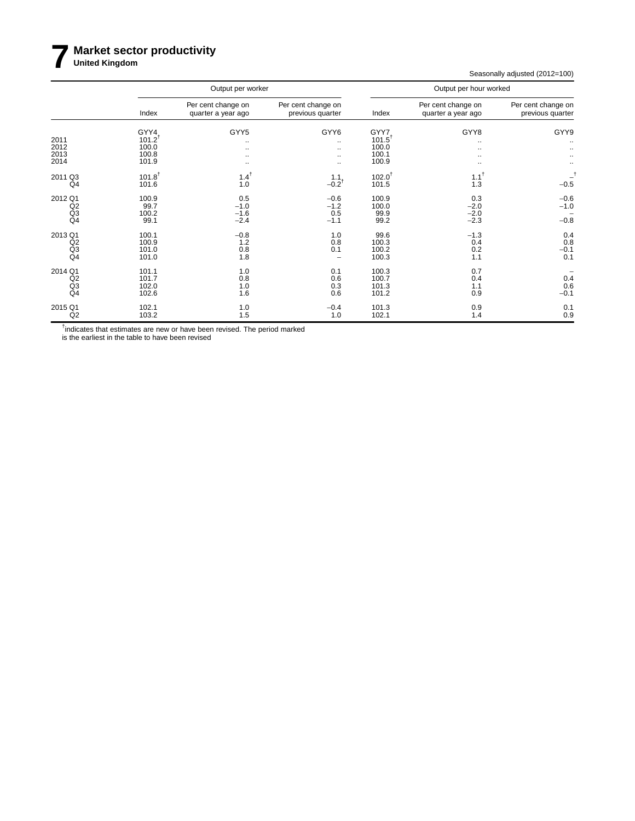# **7 Market sector productivity United Kingdom**

Seasonally adjusted (2012=100)

|                                                   |                                                | Output per worker                         |                                        | Output per hour worked                               |                                          |                                        |  |  |
|---------------------------------------------------|------------------------------------------------|-------------------------------------------|----------------------------------------|------------------------------------------------------|------------------------------------------|----------------------------------------|--|--|
|                                                   | Index                                          | Per cent change on<br>quarter a year ago  | Per cent change on<br>previous quarter | Index                                                | Per cent change on<br>quarter a year ago | Per cent change on<br>previous quarter |  |  |
| 2011<br>2012<br>2013<br>2014                      | GYY4<br>$101.2^{T}$<br>100.0<br>100.8<br>101.9 | GYY5<br>$\cdot\cdot$<br><br><br>$\ddotsc$ | GYY6<br><br><br><br>                   | GYY7<br>$101.5^{\dagger}$<br>100.0<br>100.1<br>100.9 | GYY8<br>٠.<br><br>٠.<br>$\ddotsc$        | GYY9<br>$\cdot\cdot$<br>$\ldots$       |  |  |
| 2011 Q3<br>Q <sub>4</sub>                         | $101.8^{+}$<br>101.6                           | $1.4^{\dagger}$<br>1.0                    | $1.1$ <sub>-0.2</sub> <sup>t</sup>     | $102.0^{+}$<br>101.5                                 | $1.1^{\dagger}$<br>1.3                   | $-0.5$                                 |  |  |
| 2012 Q1<br>$^{Q2}_{Q3}$<br>Q <sub>4</sub>         | 100.9<br>99.7<br>100.2<br>99.1                 | 0.5<br>$-1.0$<br>$-1.6$<br>$-2.4$         | $-0.6$<br>$-1.2$<br>0.5<br>$-1.1$      | 100.9<br>100.0<br>99.9<br>99.2                       | 0.3<br>$-2.0$<br>$-2.0$<br>$-2.3$        | $-0.6$<br>$-1.0$<br>$-0.8$             |  |  |
| 2013 Q1<br>Q2<br>Q3<br>Q <sub>4</sub>             | 100.1<br>100.9<br>101.0<br>101.0               | $-0.8$<br>1.2<br>0.8<br>1.8               | 1.0<br>0.8<br>0.1                      | 99.6<br>100.3<br>100.2<br>100.3                      | $-1.3$<br>0.4<br>0.2<br>1.1              | 0.4<br>0.8<br>$-0.1$<br>0.1            |  |  |
| 2014 Q1<br>Q2<br>Q <sub>3</sub><br>Q <sub>4</sub> | 101.1<br>101.7<br>102.0<br>102.6               | 1.0<br>0.8<br>1.0<br>1.6                  | 0.1<br>0.6<br>0.3<br>0.6               | 100.3<br>100.7<br>101.3<br>101.2                     | 0.7<br>0.4<br>1.1<br>0.9                 | 0.4<br>0.6<br>$-0.1$                   |  |  |
| 2015 Q1<br>Q2                                     | 102.1<br>103.2                                 | 1.0<br>1.5                                | $-0.4$<br>1.0                          | 101.3<br>102.1                                       | 0.9<br>1.4                               | 0.1<br>0.9                             |  |  |

<sup>†</sup>indicates that estimates are new or have been revised. The period marked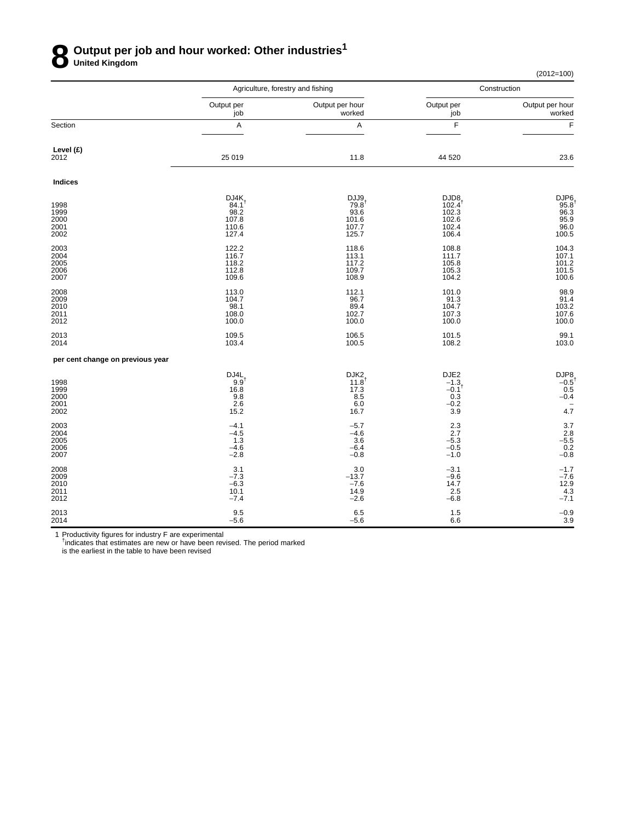# **8 Output per job and hour worked: Other industries<sup>1</sup> United Kingdom**

(2012=100)

|                                      |                                                             | Agriculture, forestry and fishing                                  | Construction                                                  |                                                                  |  |
|--------------------------------------|-------------------------------------------------------------|--------------------------------------------------------------------|---------------------------------------------------------------|------------------------------------------------------------------|--|
|                                      | Output per<br>job                                           | Output per hour<br>worked                                          | Output per<br>job                                             | Output per hour<br>worked                                        |  |
| Section                              | А                                                           | А                                                                  | F                                                             | F                                                                |  |
| Level (£)<br>2012                    | 25 019                                                      | 11.8                                                               | 44 520                                                        | 23.6                                                             |  |
| <b>Indices</b>                       |                                                             |                                                                    |                                                               |                                                                  |  |
| 1998<br>1999<br>2000<br>2001<br>2002 | DJ4K<br>$84.1^{\dagger}$<br>98.2<br>107.8<br>110.6<br>127.4 | DJJ9<br>$79.8^{\dagger}$<br>93.6<br>101.6<br>107.7<br>125.7        | DJD8<br>$102.4^{\dagger}$<br>102.3<br>102.6<br>102.4<br>106.4 | DJP6<br>95.8<br>96.3<br>95.9<br>96.0<br>100.5                    |  |
| 2003<br>2004<br>2005<br>2006<br>2007 | 122.2<br>116.7<br>118.2<br>112.8<br>109.6                   | 118.6<br>113.1<br>117.2<br>109.7<br>108.9                          | 108.8<br>111.7<br>105.8<br>105.3<br>104.2                     | 104.3<br>$107.1$<br>101.2<br>101.5<br>100.6                      |  |
| 2008<br>2009<br>2010<br>2011<br>2012 | 113.0<br>104.7<br>98.1<br>108.0<br>100.0                    | 112.1<br>96.7<br>89.4<br>102.7<br>100.0                            | 101.0<br>91.3<br>104.7<br>107.3<br>100.0                      | 98.9<br>$91.4$<br>$103.2$<br>$107.6$<br>$100.0$                  |  |
| 2013<br>2014                         | 109.5<br>103.4                                              | 106.5<br>100.5                                                     | 101.5<br>108.2                                                | 99.1<br>103.0                                                    |  |
| per cent change on previous year     |                                                             |                                                                    |                                                               |                                                                  |  |
| 1998<br>1999<br>2000<br>2001<br>2002 | DJ4L<br>9.9 <sup>†</sup><br>16.8<br>9.8<br>2.6<br>15.2      | DJK <sub>2</sub><br>$11.8^{\dagger}$<br>17.3<br>8.5<br>6.0<br>16.7 | DJE2<br>$-1.3$<br>$-0.1$ <sup>t</sup><br>0.3<br>$-0.2$<br>3.9 | $DJP8 - 0.5$<br>0.5<br>$-0.4$<br>$\overline{\phantom{a}}$<br>4.7 |  |
| 2003<br>2004<br>2005<br>2006<br>2007 | $-4.1$<br>$-4.5$<br>1.3<br>$-4.6$<br>$-2.8$                 | $-5.7$<br>$-4.6$<br>3.6<br>$-6.4$<br>$-0.8$                        | 2.3<br>2.7<br>$-5.3$<br>$-0.5$<br>$-1.0$                      | $3.7$<br>2.8<br>-5.5<br>-5.5<br>0.2<br>-0.8                      |  |
| 2008<br>2009<br>2010<br>2011<br>2012 | 3.1<br>$-7.3$<br>$-6.3$<br>10.1<br>$-7.4$                   | 3.0<br>$-13.7$<br>$-7.6$<br>14.9<br>$-2.6$                         | $-3.1$<br>$-9.6$<br>14.7<br>2.5<br>$-6.8$                     | $-1.7$<br>$-7.6$<br>12.9<br>$\frac{4.3}{-7.1}$                   |  |
| 2013<br>2014                         | 9.5<br>$-5.6$                                               | 6.5<br>$-5.6$                                                      | 1.5<br>6.6                                                    | $-0.9$<br>3.9                                                    |  |

1 Productivity figures for industry F are experimental<br><sup>†</sup>indicates that estimates are new or have been revised. The period marked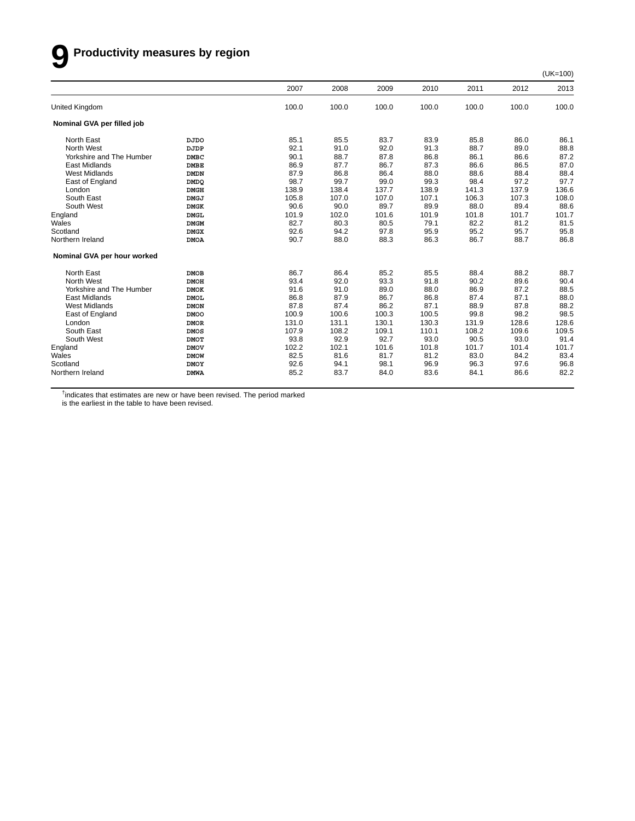# **9 Productivity measures by region**

|                             |             | 2007  | 2008  | 2009  | 2010  | 2011  | 2012  | 2013  |
|-----------------------------|-------------|-------|-------|-------|-------|-------|-------|-------|
| United Kingdom              |             | 100.0 | 100.0 | 100.0 | 100.0 | 100.0 | 100.0 | 100.0 |
| Nominal GVA per filled job  |             |       |       |       |       |       |       |       |
| North East                  | <b>DJDO</b> | 85.1  | 85.5  | 83.7  | 83.9  | 85.8  | 86.0  | 86.1  |
| North West                  | DJDP        | 92.1  | 91.0  | 92.0  | 91.3  | 88.7  | 89.0  | 88.8  |
| Yorkshire and The Humber    | <b>DMBC</b> | 90.1  | 88.7  | 87.8  | 86.8  | 86.1  | 86.6  | 87.2  |
| <b>East Midlands</b>        | <b>DMBE</b> | 86.9  | 87.7  | 86.7  | 87.3  | 86.6  | 86.5  | 87.0  |
| <b>West Midlands</b>        | <b>DMDN</b> | 87.9  | 86.8  | 86.4  | 88.0  | 88.6  | 88.4  | 88.4  |
| East of England             | <b>DMDO</b> | 98.7  | 99.7  | 99.0  | 99.3  | 98.4  | 97.2  | 97.7  |
| London                      | <b>DMGH</b> | 138.9 | 138.4 | 137.7 | 138.9 | 141.3 | 137.9 | 136.6 |
| South East                  | <b>DMGJ</b> | 105.8 | 107.0 | 107.0 | 107.1 | 106.3 | 107.3 | 108.0 |
| South West                  | <b>DMGK</b> | 90.6  | 90.0  | 89.7  | 89.9  | 88.0  | 89.4  | 88.6  |
| England                     | <b>DMGL</b> | 101.9 | 102.0 | 101.6 | 101.9 | 101.8 | 101.7 | 101.7 |
| Wales                       | <b>DMGM</b> | 82.7  | 80.3  | 80.5  | 79.1  | 82.2  | 81.2  | 81.5  |
| Scotland                    | <b>DMGX</b> | 92.6  | 94.2  | 97.8  | 95.9  | 95.2  | 95.7  | 95.8  |
| Northern Ireland            | <b>DMOA</b> | 90.7  | 88.0  | 88.3  | 86.3  | 86.7  | 88.7  | 86.8  |
| Nominal GVA per hour worked |             |       |       |       |       |       |       |       |
| North East                  | <b>DMOB</b> | 86.7  | 86.4  | 85.2  | 85.5  | 88.4  | 88.2  | 88.7  |
| North West                  | <b>DMOH</b> | 93.4  | 92.0  | 93.3  | 91.8  | 90.2  | 89.6  | 90.4  |
| Yorkshire and The Humber    | <b>DMOK</b> | 91.6  | 91.0  | 89.0  | 88.0  | 86.9  | 87.2  | 88.5  |
| <b>East Midlands</b>        | <b>DMOL</b> | 86.8  | 87.9  | 86.7  | 86.8  | 87.4  | 87.1  | 88.0  |
| <b>West Midlands</b>        | <b>DMON</b> | 87.8  | 87.4  | 86.2  | 87.1  | 88.9  | 87.8  | 88.2  |
| East of England             | <b>DMOO</b> | 100.9 | 100.6 | 100.3 | 100.5 | 99.8  | 98.2  | 98.5  |
| London                      | <b>DMOR</b> | 131.0 | 131.1 | 130.1 | 130.3 | 131.9 | 128.6 | 128.6 |
| South East                  | <b>DMOS</b> | 107.9 | 108.2 | 109.1 | 110.1 | 108.2 | 109.6 | 109.5 |
| South West                  | <b>DMOT</b> | 93.8  | 92.9  | 92.7  | 93.0  | 90.5  | 93.0  | 91.4  |
| England                     | <b>DMOV</b> | 102.2 | 102.1 | 101.6 | 101.8 | 101.7 | 101.4 | 101.7 |
| Wales                       | <b>DMOW</b> | 82.5  | 81.6  | 81.7  | 81.2  | 83.0  | 84.2  | 83.4  |
| Scotland                    | <b>DMOY</b> | 92.6  | 94.1  | 98.1  | 96.9  | 96.3  | 97.6  | 96.8  |
| Northern Ireland            | <b>DMWA</b> | 85.2  | 83.7  | 84.0  | 83.6  | 84.1  | 86.6  | 82.2  |
|                             |             |       |       |       |       |       |       |       |

<sup>†</sup>indicates that estimates are new or have been revised. The period marked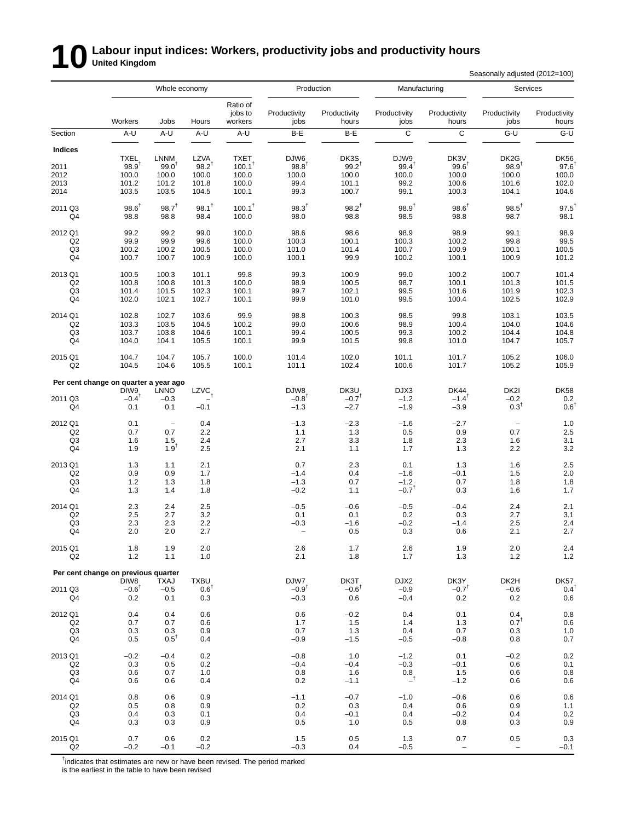# **10** Labour input indices: Workers, productivity jobs and productivity hours<br>
Section

Seasonally adjusted (2012=100)

|                           | Whole economy                         |                              |                                       | Production                     |                                       | Manufacturing                      |                          | Services                                     |                                   |                                                          |
|---------------------------|---------------------------------------|------------------------------|---------------------------------------|--------------------------------|---------------------------------------|------------------------------------|--------------------------|----------------------------------------------|-----------------------------------|----------------------------------------------------------|
|                           | Workers                               | Jobs                         | Hours                                 | Ratio of<br>jobs to<br>workers | Productivity<br>jobs                  | Productivity<br>hours              | Productivity<br>jobs     | Productivity<br>hours                        | Productivity<br>jobs              | Productivity<br>hours                                    |
| Section                   | A-U                                   | A-U                          | A-U                                   | A-U                            | B-E                                   | B-E                                | $\mathbf C$              | С                                            | $G-U$                             | $G-U$                                                    |
| <b>Indices</b>            | <b>TXEL</b>                           | LNNM                         | <b>LZVA</b>                           | <b>TXET</b>                    | DJW6                                  | DK3S                               | DJW9                     | DK3V                                         | DK <sub>2</sub> G                 | <b>DK56</b>                                              |
| 2011                      | $98.9^{†}$                            | $99.0^{\dagger}$             | $98.2^{T}$                            | $100.1^{\dagger}$              | $98.8^{\dagger}$                      | $99.2^{T}$                         | $99.4^{\dagger}$         | $99.6^{\dagger}$                             | $98.9^{T}$                        | 97.6                                                     |
| 2012                      | 100.0                                 | 100.0                        | 100.0                                 | 100.0                          | 100.0                                 | 100.0                              | 100.0                    | 100.0                                        | 100.0                             | 100.0                                                    |
| 2013                      | 101.2                                 | 101.2                        | 101.8                                 | 100.0                          | 99.4                                  | 101.1                              | 99.2                     | 100.6                                        | 101.6                             | 102.0                                                    |
| 2014                      | 103.5                                 | 103.5                        | 104.5                                 | 100.1                          | 99.3                                  | 100.7                              | 99.1                     | 100.3                                        | 104.1                             | 104.6                                                    |
| 2011 Q3                   | $98.6^{\dagger}$                      | $98.7^{+}$                   | $98.1^{\dagger}$                      | $100.1^{\dagger}$              | $98.3^{+}$                            | $98.2^{T}$                         | $98.9^{†}$               | $98.6^{\dagger}$                             | $98.5^{\dagger}$                  | $97.5$ <sup>1</sup>                                      |
| Q4                        | 98.8                                  | 98.8                         | 98.4                                  | 100.0                          | 98.0                                  | 98.8                               | 98.5                     | 98.8                                         | 98.7                              | 98.1                                                     |
| 2012 Q1                   | 99.2                                  | 99.2                         | 99.0                                  | 100.0                          | 98.6                                  | 98.6                               | 98.9                     | 98.9                                         | 99.1                              | 98.9                                                     |
| Q2                        | 99.9                                  | 99.9                         | 99.6                                  | 100.0                          | 100.3                                 | 100.1                              | 100.3                    | 100.2                                        | 99.8                              | 99.5                                                     |
| Q3                        | 100.2                                 | 100.2                        | 100.5                                 | 100.0                          | 101.0                                 | 101.4                              | 100.7                    | 100.9                                        | 100.1                             | 100.5                                                    |
| Q4                        | 100.7                                 | 100.7                        | 100.9                                 | 100.0                          | 100.1                                 | 99.9                               | 100.2                    | 100.1                                        | 100.9                             | 101.2                                                    |
| 2013 Q1                   | 100.5                                 | 100.3                        | 101.1                                 | 99.8                           | 99.3                                  | 100.9                              | 99.0                     | 100.2                                        | 100.7                             | 101.4                                                    |
| Q <sub>2</sub>            | 100.8                                 | 100.8                        | 101.3                                 | 100.0                          | 98.9                                  | 100.5                              | 98.7                     | 100.1                                        | 101.3                             | 101.5                                                    |
| Q3                        | 101.4                                 | 101.5                        | 102.3                                 | 100.1                          | 99.7                                  | 102.1                              | 99.5                     | 101.6                                        | 101.9                             | 102.3                                                    |
| Q4                        | 102.0                                 | 102.1                        | 102.7                                 | 100.1                          | 99.9                                  | 101.0                              | 99.5                     | 100.4                                        | 102.5                             | 102.9                                                    |
| 2014 Q1                   | 102.8                                 | 102.7                        | 103.6                                 | 99.9                           | 98.8                                  | 100.3                              | 98.5                     | 99.8                                         | 103.1                             | 103.5                                                    |
| Q <sub>2</sub>            | 103.3                                 | 103.5                        | 104.5                                 | 100.2                          | 99.0                                  | 100.6                              | 98.9                     | 100.4                                        | 104.0                             | 104.6                                                    |
| Q <sub>3</sub>            | 103.7                                 | 103.8                        | 104.6                                 | 100.1                          | 99.4                                  | 100.5                              | 99.3                     | 100.2                                        | 104.4                             | 104.8                                                    |
| Q4                        | 104.0                                 | 104.1                        | 105.5                                 | 100.1                          | 99.9                                  | 101.5                              | 99.8                     | 101.0                                        | 104.7                             | 105.7                                                    |
| 2015 Q1                   | 104.7                                 | 104.7                        | 105.7                                 | 100.0                          | 101.4                                 | 102.0                              | 101.1                    | 101.7                                        | 105.2                             | 106.0                                                    |
| Q <sub>2</sub>            | 104.5                                 | 104.6                        | 105.5                                 | 100.1                          | 101.1                                 | 102.4                              | 100.6                    | 101.7                                        | 105.2                             | 105.9                                                    |
|                           | Per cent change on quarter a year ago |                              |                                       |                                |                                       |                                    |                          |                                              |                                   |                                                          |
| 2011 Q3<br>Q <sub>4</sub> | DIW9<br>$-0.4^{\dagger}$<br>0.1       | <b>LNNO</b><br>$-0.3$<br>0.1 | LZVC<br>$-0.1$                        |                                | DJW8<br>$-0.8$ <sup>†</sup><br>$-1.3$ | DK3U<br>$-0.7^{\dagger}$<br>$-2.7$ | DJX3<br>$-1.2$<br>$-1.9$ | <b>DK44</b><br>$-1.4$ <sup>†</sup><br>$-3.9$ | DK2I<br>$-0.2$<br>$0.3^{\dagger}$ | <b>DK58</b><br>$\begin{array}{c} 0.2 \\ 0.6 \end{array}$ |
| 2012 Q1                   | 0.1                                   | $\overline{\phantom{a}}$     | 0.4                                   |                                | $-1.3$                                | $-2.3$                             | $-1.6$                   | $-2.7$                                       | $\qquad \qquad -$                 | $1.0$                                                    |
| Q <sub>2</sub>            | 0.7                                   | 0.7                          | 2.2                                   |                                | 1.1                                   | 1.3                                | 0.5                      | 0.9                                          | 0.7                               | 2.5                                                      |
| Q3                        | 1.6                                   | 1.5                          | 2.4                                   |                                | 2.7                                   | 3.3                                | 1.8                      | 2.3                                          | 1.6                               | 3.1                                                      |
| Q4                        | 1.9                                   | $1.9^{1}$                    | 2.5                                   |                                | 2.1                                   | 1.1                                | 1.7                      | 1.3                                          | 2.2                               | 3.2                                                      |
| 2013 Q1                   | 1.3                                   | 1.1                          | 2.1                                   |                                | 0.7                                   | 2.3                                | 0.1                      | 1.3                                          | 1.6                               | 2.5                                                      |
| Q <sub>2</sub>            | 0.9                                   | 0.9                          | 1.7                                   |                                | $-1.4$                                | 0.4                                | $-1.6$                   | $-0.1$                                       | 1.5                               | 2.0                                                      |
| Q <sub>3</sub>            | 1.2                                   | 1.3                          | 1.8                                   |                                | $-1.3$                                | 0.7                                | $-1.2$                   | 0.7                                          | 1.8                               | 1.8                                                      |
| Q4                        | 1.3                                   | 1.4                          | 1.8                                   |                                | $-0.2$                                | 1.1                                | $-0.7$ <sup>t</sup>      | 0.3                                          | 1.6                               | 1.7                                                      |
| 2014 Q1                   | 2.3                                   | 2.4                          | 2.5                                   |                                | $-0.5$                                | $-0.6$                             | $-0.5$                   | $-0.4$                                       | 2.4                               | 2.1                                                      |
| Q2                        | 2.5                                   | 2.7                          | 3.2                                   |                                | 0.1                                   | 0.1                                | 0.2                      | 0.3                                          | 2.7                               | 3.1                                                      |
| Q3                        | 2.3                                   | 2.3                          | 2.2                                   |                                | $-0.3$                                | $-1.6$                             | $-0.2$                   | $-1.4$                                       | 2.5                               | 2.4                                                      |
| Q4                        | 2.0                                   | 2.0                          | 2.7                                   |                                | $\overline{\phantom{0}}$              | 0.5                                | 0.3                      | 0.6                                          | 2.1                               | 2.7                                                      |
| 2015 Q1                   | 1.8                                   | 1.9                          | 2.0                                   |                                | 2.6                                   | 1.7                                | 2.6                      | 1.9                                          | 2.0                               | 2.4                                                      |
| Q <sub>2</sub>            | 1.2                                   | 1.1                          | 1.0                                   |                                | 2.1                                   | 1.8                                | 1.7                      | 1.3                                          | 1.2                               | 1.2                                                      |
|                           | Per cent change on previous quarter   |                              |                                       |                                |                                       |                                    |                          |                                              |                                   |                                                          |
| 2011 Q3<br>Q4             | DIW8<br>$-0.6^{\dagger}$<br>0.2       | <b>TXAJ</b><br>$-0.5$<br>0.1 | <b>TXBU</b><br>$0.6^{\dagger}$<br>0.3 |                                | DJW7<br>$-0.9^{\dagger}$<br>$-0.3$    | DK3T<br>$-0.6^{\dagger}$<br>0.6    | DJX2<br>$-0.9$<br>$-0.4$ | DK3Y<br>$-0.7†$<br>0.2                       | DK2H<br>$-0.6$<br>0.2             | DK57<br>$0.4^{\dagger}$<br>0.6                           |
| 2012 Q1                   | 0.4                                   | 0.4                          | 0.6                                   |                                | 0.6                                   | $-0.2$                             | 0.4                      | 0.1                                          | 0.4                               | $0.8\,$                                                  |
| Q2                        | 0.7                                   | 0.7                          | 0.6                                   |                                | 1.7                                   | 1.5                                | 1.4                      | 1.3                                          | $0.7^{\dagger}$                   | $0.6\,$                                                  |
| Q3                        | 0.3                                   | 0.3                          | 0.9                                   |                                | 0.7                                   | 1.3                                | 0.4                      | 0.7                                          | 0.3                               | 1.0                                                      |
| Q4                        | 0.5                                   | $0.5^{\dagger}$              | 0.4                                   |                                | $-0.9$                                | $-1.5$                             | $-0.5$                   | $-0.8$                                       | 0.8                               | 0.7                                                      |
| 2013 Q1                   | $-0.2$                                | $-0.4$                       | 0.2                                   |                                | $-0.8$                                | 1.0                                | $-1.2$                   | 0.1                                          | $-0.2$                            | 0.2                                                      |
| Q2                        | 0.3                                   | 0.5                          | 0.2                                   |                                | $-0.4$                                | $-0.4$                             | $-0.3$                   | $-0.1$                                       | 0.6                               | 0.1                                                      |
| Q3                        | 0.6                                   | 0.7                          | 1.0                                   |                                | 0.8                                   | 1.6                                | 0.8                      | 1.5                                          | 0.6                               | $0.8\,$                                                  |
| Q4                        | 0.6                                   | 0.6                          | 0.4                                   |                                | 0.2                                   | $-1.1$                             | $-^{\dagger}$            | $-1.2$                                       | 0.6                               | 0.6                                                      |
| 2014 Q1                   | 0.8                                   | 0.6                          | 0.9                                   |                                | $-1.1$                                | $-0.7$                             | $-1.0$                   | $-0.6$                                       | 0.6                               | 0.6                                                      |
| Q <sub>2</sub>            | 0.5                                   | 0.8                          | 0.9                                   |                                | 0.2                                   | 0.3                                | 0.4                      | 0.6                                          | 0.9                               | 1.1                                                      |
| Q3                        | 0.4                                   | 0.3                          | 0.1                                   |                                | 0.4                                   | $-0.1$                             | 0.4                      | $-0.2$                                       | 0.4                               | 0.2                                                      |
| Q4                        | 0.3                                   | 0.3                          | 0.9                                   |                                | 0.5                                   | 1.0                                | 0.5                      | 0.8                                          | 0.3                               | 0.9                                                      |
| 2015 Q1                   | 0.7                                   | 0.6                          | 0.2                                   |                                | 1.5                                   | 0.5                                | 1.3                      | 0.7                                          | 0.5                               | 0.3                                                      |
| Q2                        | $-0.2$                                | $-0.1$                       | $-0.2$                                |                                | $-0.3$                                | 0.4                                | $-0.5$                   | $\overline{\phantom{a}}$                     | $\overline{\phantom{0}}$          | $-0.1$                                                   |

<sup>†</sup>indicates that estimates are new or have been revised. The period marked is the earliest in the table to have been revised